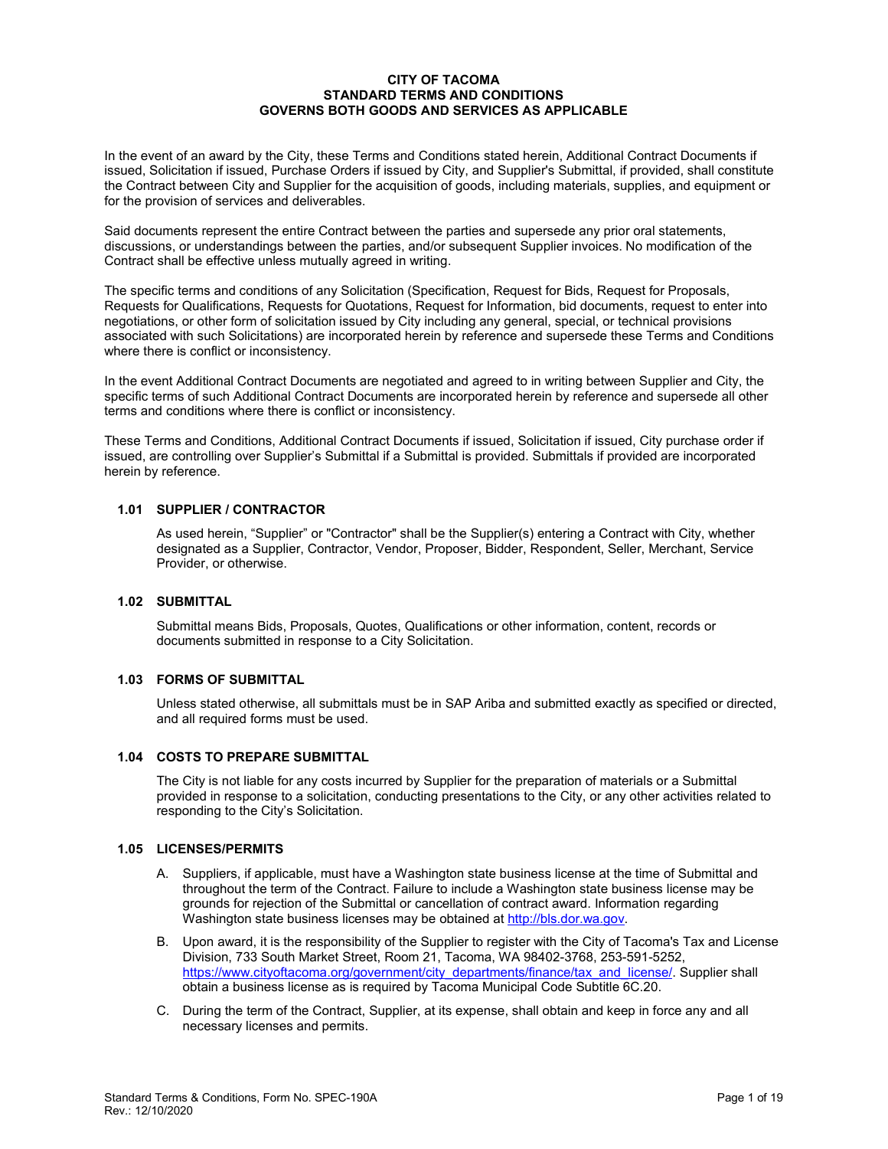#### **CITY OF TACOMA STANDARD TERMS AND CONDITIONS GOVERNS BOTH GOODS AND SERVICES AS APPLICABLE**

In the event of an award by the City, these Terms and Conditions stated herein, Additional Contract Documents if issued, Solicitation if issued, Purchase Orders if issued by City, and Supplier's Submittal, if provided, shall constitute the Contract between City and Supplier for the acquisition of goods, including materials, supplies, and equipment or for the provision of services and deliverables.

Said documents represent the entire Contract between the parties and supersede any prior oral statements, discussions, or understandings between the parties, and/or subsequent Supplier invoices. No modification of the Contract shall be effective unless mutually agreed in writing.

The specific terms and conditions of any Solicitation (Specification, Request for Bids, Request for Proposals, Requests for Qualifications, Requests for Quotations, Request for Information, bid documents, request to enter into negotiations, or other form of solicitation issued by City including any general, special, or technical provisions associated with such Solicitations) are incorporated herein by reference and supersede these Terms and Conditions where there is conflict or inconsistency.

In the event Additional Contract Documents are negotiated and agreed to in writing between Supplier and City, the specific terms of such Additional Contract Documents are incorporated herein by reference and supersede all other terms and conditions where there is conflict or inconsistency.

These Terms and Conditions, Additional Contract Documents if issued, Solicitation if issued, City purchase order if issued, are controlling over Supplier's Submittal if a Submittal is provided. Submittals if provided are incorporated herein by reference.

# **1.01 SUPPLIER / CONTRACTOR**

As used herein, "Supplier" or "Contractor" shall be the Supplier(s) entering a Contract with City, whether designated as a Supplier, Contractor, Vendor, Proposer, Bidder, Respondent, Seller, Merchant, Service Provider, or otherwise.

### **1.02 SUBMITTAL**

Submittal means Bids, Proposals, Quotes, Qualifications or other information, content, records or documents submitted in response to a City Solicitation.

# **1.03 FORMS OF SUBMITTAL**

Unless stated otherwise, all submittals must be in SAP Ariba and submitted exactly as specified or directed, and all required forms must be used.

#### **1.04 COSTS TO PREPARE SUBMITTAL**

The City is not liable for any costs incurred by Supplier for the preparation of materials or a Submittal provided in response to a solicitation, conducting presentations to the City, or any other activities related to responding to the City's Solicitation.

### **1.05 LICENSES/PERMITS**

- A. Suppliers, if applicable, must have a Washington state business license at the time of Submittal and throughout the term of the Contract. Failure to include a Washington state business license may be grounds for rejection of the Submittal or cancellation of contract award. Information regarding Washington state business licenses may be obtained at [http://bls.dor.wa.gov.](http://bls.dor.wa.gov/)
- B. Upon award, it is the responsibility of the Supplier to register with the City of Tacoma's Tax and License Division, 733 South Market Street, Room 21, Tacoma, WA 98402-3768, 253-591-5252, [https://www.cityoftacoma.org/government/city\\_departments/finance/tax\\_and\\_license/.](https://www.cityoftacoma.org/government/city_departments/finance/tax_and_license/) Supplier shall obtain a business license as is required by Tacoma Municipal Code Subtitle 6C.20.
- C. During the term of the Contract, Supplier, at its expense, shall obtain and keep in force any and all necessary licenses and permits.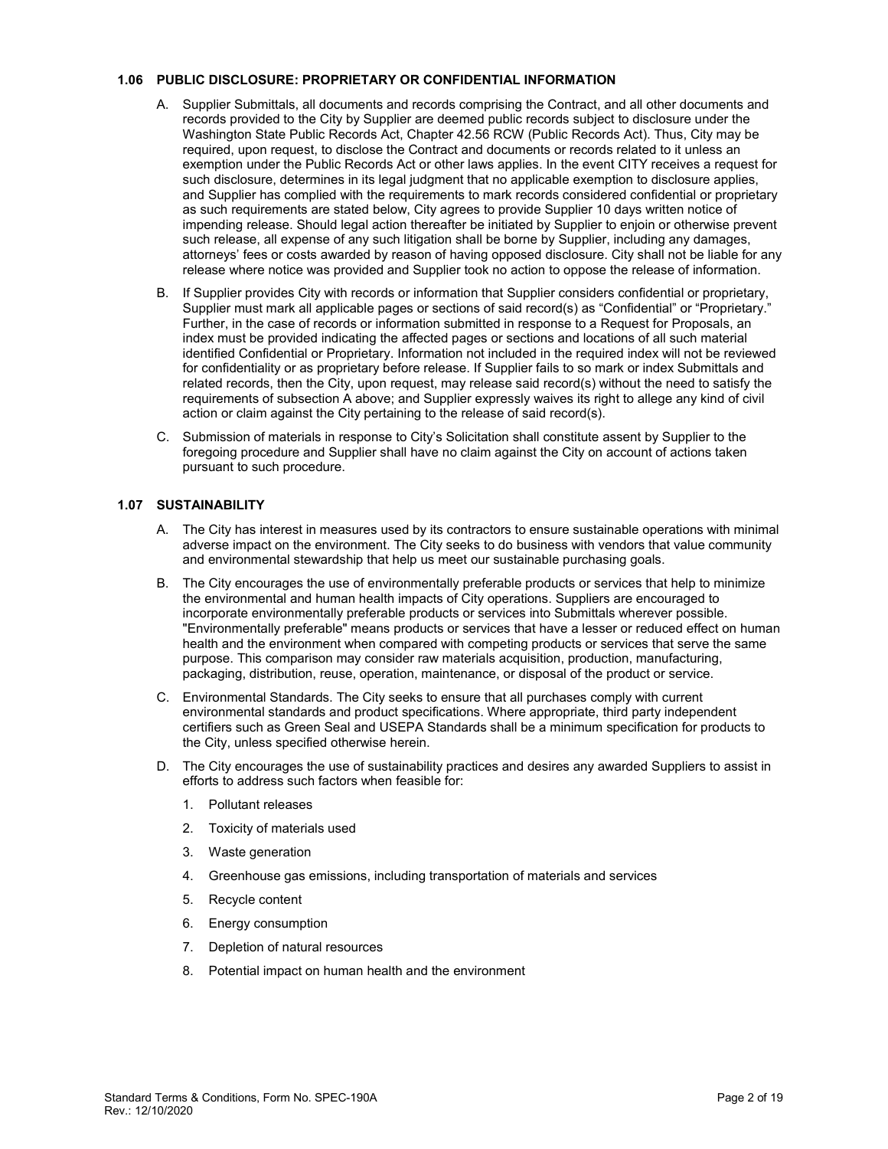# **1.06 PUBLIC DISCLOSURE: PROPRIETARY OR CONFIDENTIAL INFORMATION**

- A. Supplier Submittals, all documents and records comprising the Contract, and all other documents and records provided to the City by Supplier are deemed public records subject to disclosure under the Washington State Public Records Act, Chapter 42.56 RCW (Public Records Act). Thus, City may be required, upon request, to disclose the Contract and documents or records related to it unless an exemption under the Public Records Act or other laws applies. In the event CITY receives a request for such disclosure, determines in its legal judgment that no applicable exemption to disclosure applies, and Supplier has complied with the requirements to mark records considered confidential or proprietary as such requirements are stated below, City agrees to provide Supplier 10 days written notice of impending release. Should legal action thereafter be initiated by Supplier to enjoin or otherwise prevent such release, all expense of any such litigation shall be borne by Supplier, including any damages, attorneys' fees or costs awarded by reason of having opposed disclosure. City shall not be liable for any release where notice was provided and Supplier took no action to oppose the release of information.
- B. If Supplier provides City with records or information that Supplier considers confidential or proprietary, Supplier must mark all applicable pages or sections of said record(s) as "Confidential" or "Proprietary." Further, in the case of records or information submitted in response to a Request for Proposals, an index must be provided indicating the affected pages or sections and locations of all such material identified Confidential or Proprietary. Information not included in the required index will not be reviewed for confidentiality or as proprietary before release. If Supplier fails to so mark or index Submittals and related records, then the City, upon request, may release said record(s) without the need to satisfy the requirements of subsection A above; and Supplier expressly waives its right to allege any kind of civil action or claim against the City pertaining to the release of said record(s).
- C. Submission of materials in response to City's Solicitation shall constitute assent by Supplier to the foregoing procedure and Supplier shall have no claim against the City on account of actions taken pursuant to such procedure.

# **1.07 SUSTAINABILITY**

- A. The City has interest in measures used by its contractors to ensure sustainable operations with minimal adverse impact on the environment. The City seeks to do business with vendors that value community and environmental stewardship that help us meet our sustainable purchasing goals.
- B. The City encourages the use of environmentally preferable products or services that help to minimize the environmental and human health impacts of City operations. Suppliers are encouraged to incorporate environmentally preferable products or services into Submittals wherever possible. "Environmentally preferable" means products or services that have a lesser or reduced effect on human health and the environment when compared with competing products or services that serve the same purpose. This comparison may consider raw materials acquisition, production, manufacturing, packaging, distribution, reuse, operation, maintenance, or disposal of the product or service.
- C. Environmental Standards. The City seeks to ensure that all purchases comply with current environmental standards and product specifications. Where appropriate, third party independent certifiers such as Green Seal and USEPA Standards shall be a minimum specification for products to the City, unless specified otherwise herein.
- D. The City encourages the use of sustainability practices and desires any awarded Suppliers to assist in efforts to address such factors when feasible for:
	- 1. Pollutant releases
	- 2. Toxicity of materials used
	- 3. Waste generation
	- 4. Greenhouse gas emissions, including transportation of materials and services
	- 5. Recycle content
	- 6. Energy consumption
	- 7. Depletion of natural resources
	- 8. Potential impact on human health and the environment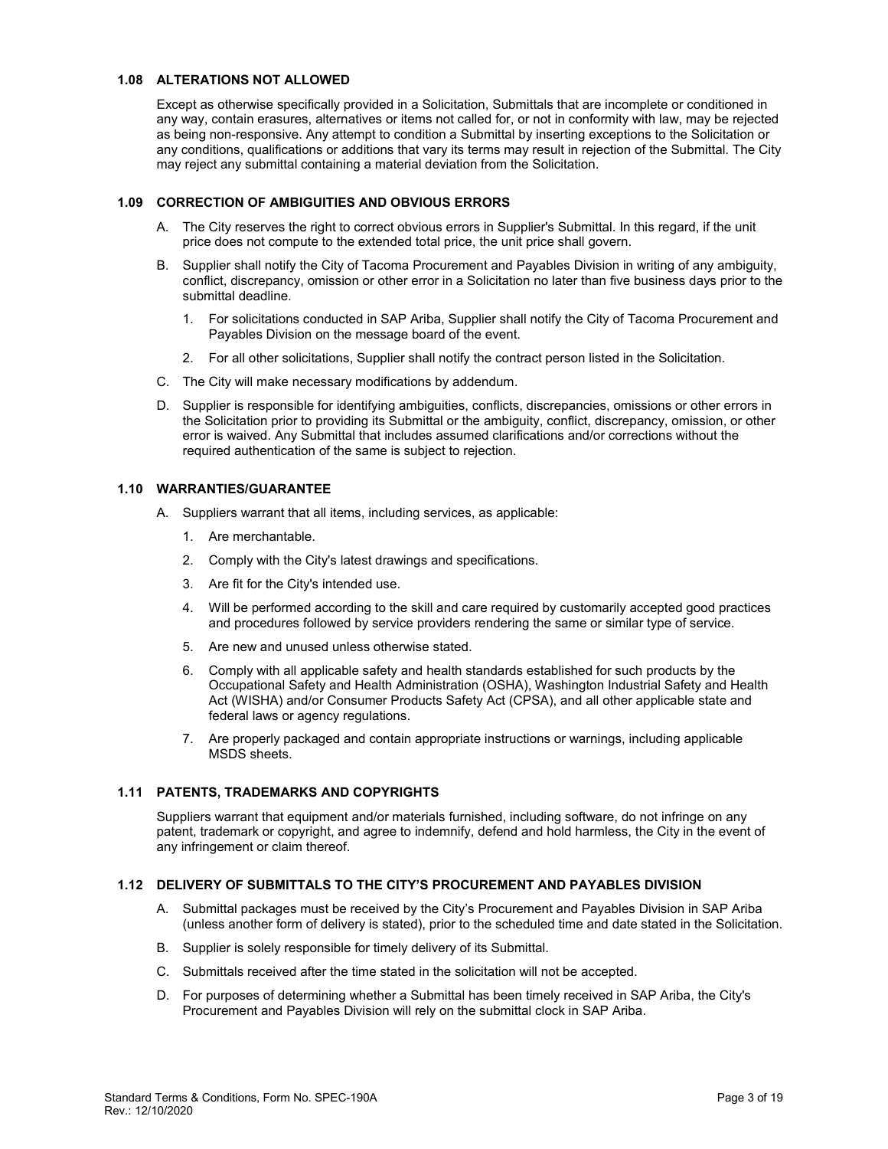### **1.08 ALTERATIONS NOT ALLOWED**

Except as otherwise specifically provided in a Solicitation, Submittals that are incomplete or conditioned in any way, contain erasures, alternatives or items not called for, or not in conformity with law, may be rejected as being non-responsive. Any attempt to condition a Submittal by inserting exceptions to the Solicitation or any conditions, qualifications or additions that vary its terms may result in rejection of the Submittal. The City may reject any submittal containing a material deviation from the Solicitation.

#### **1.09 CORRECTION OF AMBIGUITIES AND OBVIOUS ERRORS**

- A. The City reserves the right to correct obvious errors in Supplier's Submittal. In this regard, if the unit price does not compute to the extended total price, the unit price shall govern.
- B. Supplier shall notify the City of Tacoma Procurement and Payables Division in writing of any ambiguity, conflict, discrepancy, omission or other error in a Solicitation no later than five business days prior to the submittal deadline.
	- 1. For solicitations conducted in SAP Ariba, Supplier shall notify the City of Tacoma Procurement and Payables Division on the message board of the event.
	- 2. For all other solicitations, Supplier shall notify the contract person listed in the Solicitation.
- C. The City will make necessary modifications by addendum.
- D. Supplier is responsible for identifying ambiguities, conflicts, discrepancies, omissions or other errors in the Solicitation prior to providing its Submittal or the ambiguity, conflict, discrepancy, omission, or other error is waived. Any Submittal that includes assumed clarifications and/or corrections without the required authentication of the same is subject to rejection.

#### **1.10 WARRANTIES/GUARANTEE**

- A. Suppliers warrant that all items, including services, as applicable:
	- 1. Are merchantable.
	- 2. Comply with the City's latest drawings and specifications.
	- 3. Are fit for the City's intended use.
	- 4. Will be performed according to the skill and care required by customarily accepted good practices and procedures followed by service providers rendering the same or similar type of service.
	- 5. Are new and unused unless otherwise stated.
	- 6. Comply with all applicable safety and health standards established for such products by the Occupational Safety and Health Administration (OSHA), Washington Industrial Safety and Health Act (WISHA) and/or Consumer Products Safety Act (CPSA), and all other applicable state and federal laws or agency regulations.
	- 7. Are properly packaged and contain appropriate instructions or warnings, including applicable MSDS sheets.

#### **1.11 PATENTS, TRADEMARKS AND COPYRIGHTS**

Suppliers warrant that equipment and/or materials furnished, including software, do not infringe on any patent, trademark or copyright, and agree to indemnify, defend and hold harmless, the City in the event of any infringement or claim thereof.

# **1.12 DELIVERY OF SUBMITTALS TO THE CITY'S PROCUREMENT AND PAYABLES DIVISION**

- A. Submittal packages must be received by the City's Procurement and Payables Division in SAP Ariba (unless another form of delivery is stated), prior to the scheduled time and date stated in the Solicitation.
- B. Supplier is solely responsible for timely delivery of its Submittal.
- C. Submittals received after the time stated in the solicitation will not be accepted.
- D. For purposes of determining whether a Submittal has been timely received in SAP Ariba, the City's Procurement and Payables Division will rely on the submittal clock in SAP Ariba.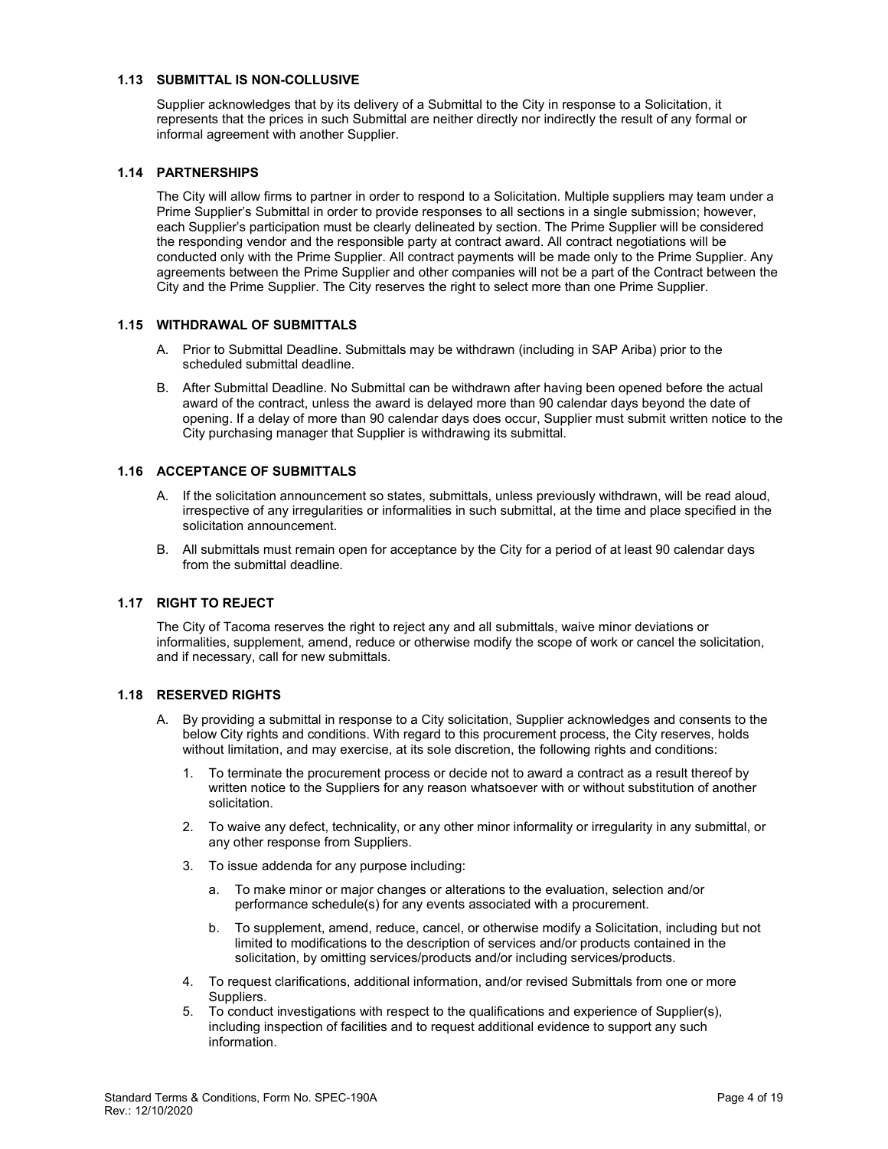# **1.13 SUBMITTAL IS NON-COLLUSIVE**

Supplier acknowledges that by its delivery of a Submittal to the City in response to a Solicitation, it represents that the prices in such Submittal are neither directly nor indirectly the result of any formal or informal agreement with another Supplier.

# **1.14 PARTNERSHIPS**

The City will allow firms to partner in order to respond to a Solicitation. Multiple suppliers may team under a Prime Supplier's Submittal in order to provide responses to all sections in a single submission; however, each Supplier's participation must be clearly delineated by section. The Prime Supplier will be considered the responding vendor and the responsible party at contract award. All contract negotiations will be conducted only with the Prime Supplier. All contract payments will be made only to the Prime Supplier. Any agreements between the Prime Supplier and other companies will not be a part of the Contract between the City and the Prime Supplier. The City reserves the right to select more than one Prime Supplier.

# **1.15 WITHDRAWAL OF SUBMITTALS**

- A. Prior to Submittal Deadline. Submittals may be withdrawn (including in SAP Ariba) prior to the scheduled submittal deadline.
- B. After Submittal Deadline. No Submittal can be withdrawn after having been opened before the actual award of the contract, unless the award is delayed more than 90 calendar days beyond the date of opening. If a delay of more than 90 calendar days does occur, Supplier must submit written notice to the City purchasing manager that Supplier is withdrawing its submittal.

# **1.16 ACCEPTANCE OF SUBMITTALS**

- A. If the solicitation announcement so states, submittals, unless previously withdrawn, will be read aloud, irrespective of any irregularities or informalities in such submittal, at the time and place specified in the solicitation announcement.
- B. All submittals must remain open for acceptance by the City for a period of at least 90 calendar days from the submittal deadline.

### **1.17 RIGHT TO REJECT**

The City of Tacoma reserves the right to reject any and all submittals, waive minor deviations or informalities, supplement, amend, reduce or otherwise modify the scope of work or cancel the solicitation, and if necessary, call for new submittals.

# **1.18 RESERVED RIGHTS**

- A. By providing a submittal in response to a City solicitation, Supplier acknowledges and consents to the below City rights and conditions. With regard to this procurement process, the City reserves, holds without limitation, and may exercise, at its sole discretion, the following rights and conditions:
	- 1. To terminate the procurement process or decide not to award a contract as a result thereof by written notice to the Suppliers for any reason whatsoever with or without substitution of another solicitation.
	- 2. To waive any defect, technicality, or any other minor informality or irregularity in any submittal, or any other response from Suppliers.
	- 3. To issue addenda for any purpose including:
		- a. To make minor or major changes or alterations to the evaluation, selection and/or performance schedule(s) for any events associated with a procurement.
		- b. To supplement, amend, reduce, cancel, or otherwise modify a Solicitation, including but not limited to modifications to the description of services and/or products contained in the solicitation, by omitting services/products and/or including services/products.
	- 4. To request clarifications, additional information, and/or revised Submittals from one or more Suppliers.
	- 5. To conduct investigations with respect to the qualifications and experience of Supplier(s), including inspection of facilities and to request additional evidence to support any such information.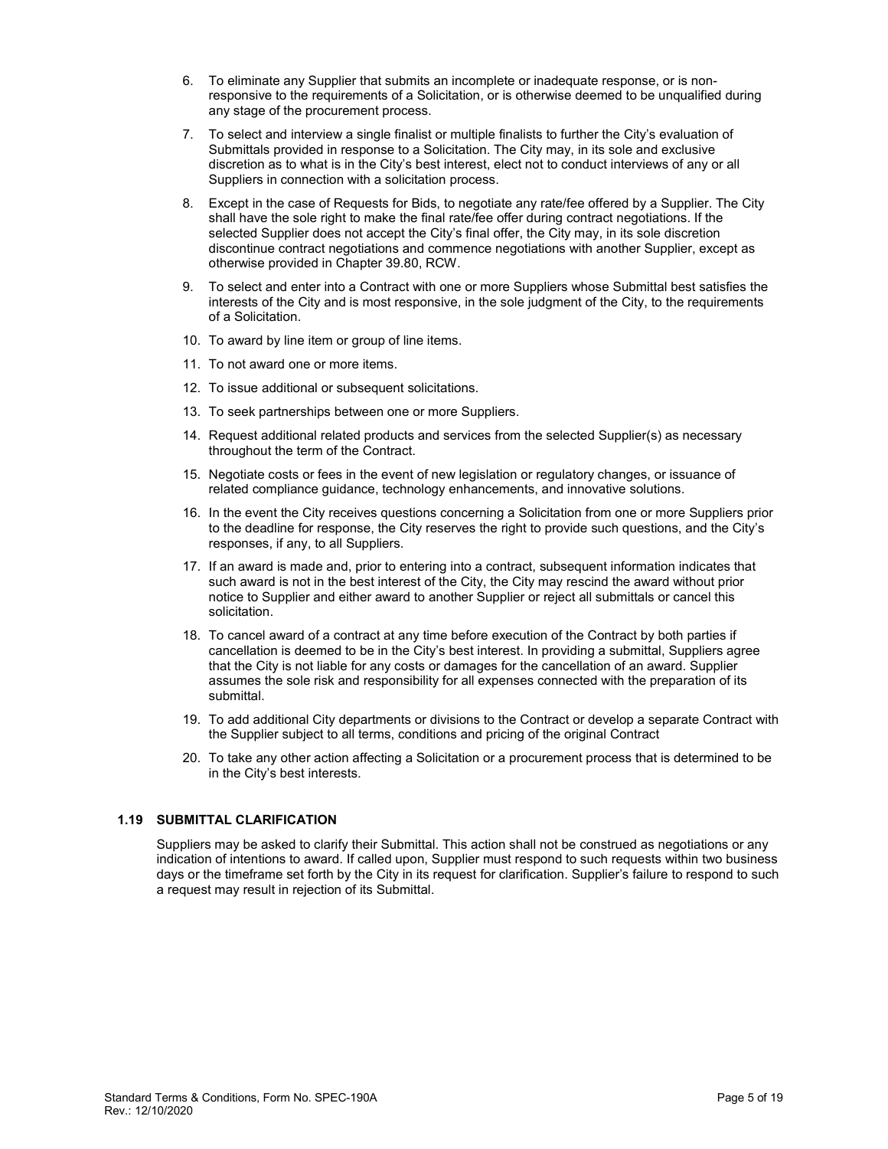- 6. To eliminate any Supplier that submits an incomplete or inadequate response, or is nonresponsive to the requirements of a Solicitation, or is otherwise deemed to be unqualified during any stage of the procurement process.
- 7. To select and interview a single finalist or multiple finalists to further the City's evaluation of Submittals provided in response to a Solicitation. The City may, in its sole and exclusive discretion as to what is in the City's best interest, elect not to conduct interviews of any or all Suppliers in connection with a solicitation process.
- 8. Except in the case of Requests for Bids, to negotiate any rate/fee offered by a Supplier. The City shall have the sole right to make the final rate/fee offer during contract negotiations. If the selected Supplier does not accept the City's final offer, the City may, in its sole discretion discontinue contract negotiations and commence negotiations with another Supplier, except as otherwise provided in Chapter 39.80, RCW.
- 9. To select and enter into a Contract with one or more Suppliers whose Submittal best satisfies the interests of the City and is most responsive, in the sole judgment of the City, to the requirements of a Solicitation.
- 10. To award by line item or group of line items.
- 11. To not award one or more items.
- 12. To issue additional or subsequent solicitations.
- 13. To seek partnerships between one or more Suppliers.
- 14. Request additional related products and services from the selected Supplier(s) as necessary throughout the term of the Contract.
- 15. Negotiate costs or fees in the event of new legislation or regulatory changes, or issuance of related compliance guidance, technology enhancements, and innovative solutions.
- 16. In the event the City receives questions concerning a Solicitation from one or more Suppliers prior to the deadline for response, the City reserves the right to provide such questions, and the City's responses, if any, to all Suppliers.
- 17. If an award is made and, prior to entering into a contract, subsequent information indicates that such award is not in the best interest of the City, the City may rescind the award without prior notice to Supplier and either award to another Supplier or reject all submittals or cancel this solicitation.
- 18. To cancel award of a contract at any time before execution of the Contract by both parties if cancellation is deemed to be in the City's best interest. In providing a submittal, Suppliers agree that the City is not liable for any costs or damages for the cancellation of an award. Supplier assumes the sole risk and responsibility for all expenses connected with the preparation of its submittal.
- 19. To add additional City departments or divisions to the Contract or develop a separate Contract with the Supplier subject to all terms, conditions and pricing of the original Contract
- 20. To take any other action affecting a Solicitation or a procurement process that is determined to be in the City's best interests.

### **1.19 SUBMITTAL CLARIFICATION**

Suppliers may be asked to clarify their Submittal. This action shall not be construed as negotiations or any indication of intentions to award. If called upon, Supplier must respond to such requests within two business days or the timeframe set forth by the City in its request for clarification. Supplier's failure to respond to such a request may result in rejection of its Submittal.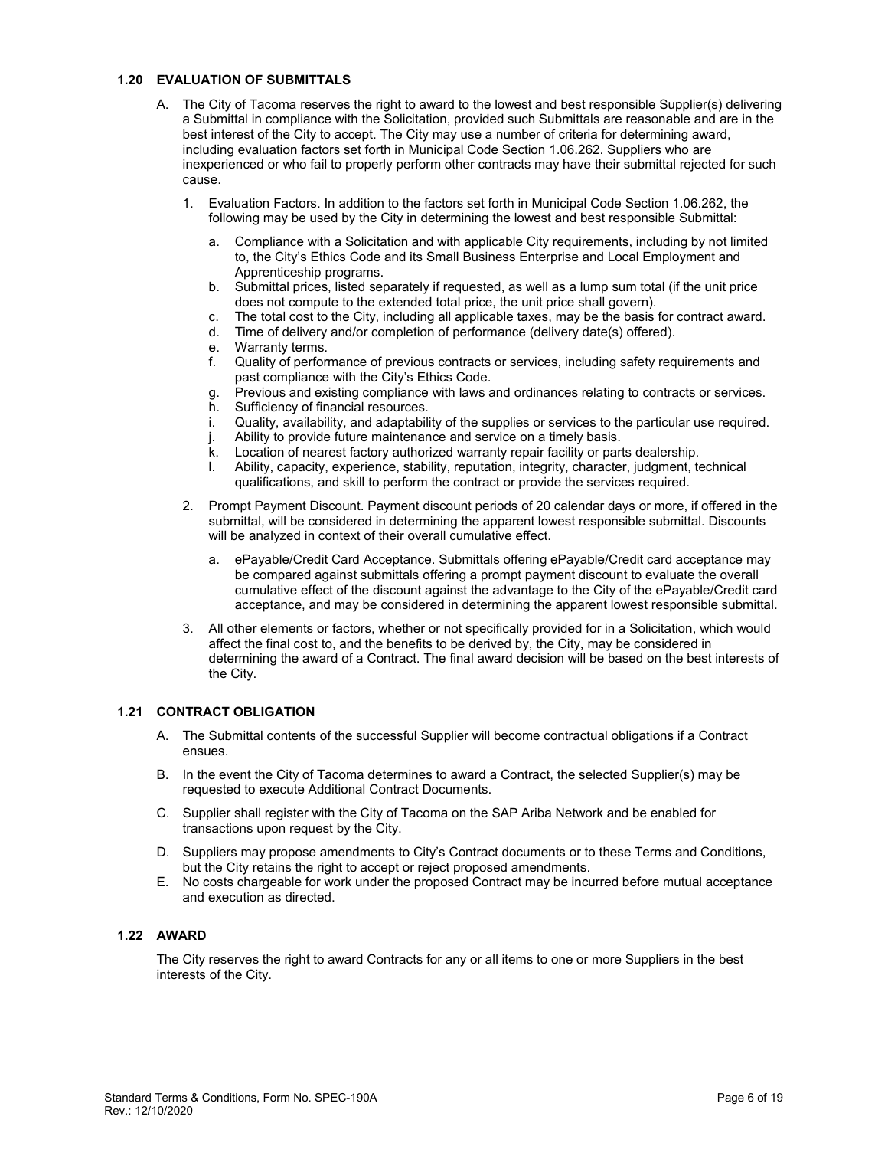# **1.20 EVALUATION OF SUBMITTALS**

- A. The City of Tacoma reserves the right to award to the lowest and best responsible Supplier(s) delivering a Submittal in compliance with the Solicitation, provided such Submittals are reasonable and are in the best interest of the City to accept. The City may use a number of criteria for determining award, including evaluation factors set forth in Municipal Code Section 1.06.262. Suppliers who are inexperienced or who fail to properly perform other contracts may have their submittal rejected for such cause.
	- 1. Evaluation Factors. In addition to the factors set forth in Municipal Code Section 1.06.262, the following may be used by the City in determining the lowest and best responsible Submittal:
		- a. Compliance with a Solicitation and with applicable City requirements, including by not limited to, the City's Ethics Code and its Small Business Enterprise and Local Employment and Apprenticeship programs.
		- b. Submittal prices, listed separately if requested, as well as a lump sum total (if the unit price does not compute to the extended total price, the unit price shall govern).
		- c. The total cost to the City, including all applicable taxes, may be the basis for contract award.
		- d. Time of delivery and/or completion of performance (delivery date(s) offered).
		- e. Warranty terms.
		- f. Quality of performance of previous contracts or services, including safety requirements and past compliance with the City's Ethics Code.
		- g. Previous and existing compliance with laws and ordinances relating to contracts or services.
		- h. Sufficiency of financial resources.<br>i. Quality, availability, and adaptabil
		- Quality, availability, and adaptability of the supplies or services to the particular use required.
		- j. Ability to provide future maintenance and service on a timely basis.
		- k. Location of nearest factory authorized warranty repair facility or parts dealership.
		- l. Ability, capacity, experience, stability, reputation, integrity, character, judgment, technical qualifications, and skill to perform the contract or provide the services required.
	- 2. Prompt Payment Discount. Payment discount periods of 20 calendar days or more, if offered in the submittal, will be considered in determining the apparent lowest responsible submittal. Discounts will be analyzed in context of their overall cumulative effect.
		- a. ePayable/Credit Card Acceptance. Submittals offering ePayable/Credit card acceptance may be compared against submittals offering a prompt payment discount to evaluate the overall cumulative effect of the discount against the advantage to the City of the ePayable/Credit card acceptance, and may be considered in determining the apparent lowest responsible submittal.
	- 3. All other elements or factors, whether or not specifically provided for in a Solicitation, which would affect the final cost to, and the benefits to be derived by, the City, may be considered in determining the award of a Contract. The final award decision will be based on the best interests of the City.

# **1.21 CONTRACT OBLIGATION**

- A. The Submittal contents of the successful Supplier will become contractual obligations if a Contract ensues.
- B. In the event the City of Tacoma determines to award a Contract, the selected Supplier(s) may be requested to execute Additional Contract Documents.
- C. Supplier shall register with the City of Tacoma on the SAP Ariba Network and be enabled for transactions upon request by the City.
- D. Suppliers may propose amendments to City's Contract documents or to these Terms and Conditions, but the City retains the right to accept or reject proposed amendments.
- E. No costs chargeable for work under the proposed Contract may be incurred before mutual acceptance and execution as directed.

# **1.22 AWARD**

The City reserves the right to award Contracts for any or all items to one or more Suppliers in the best interests of the City.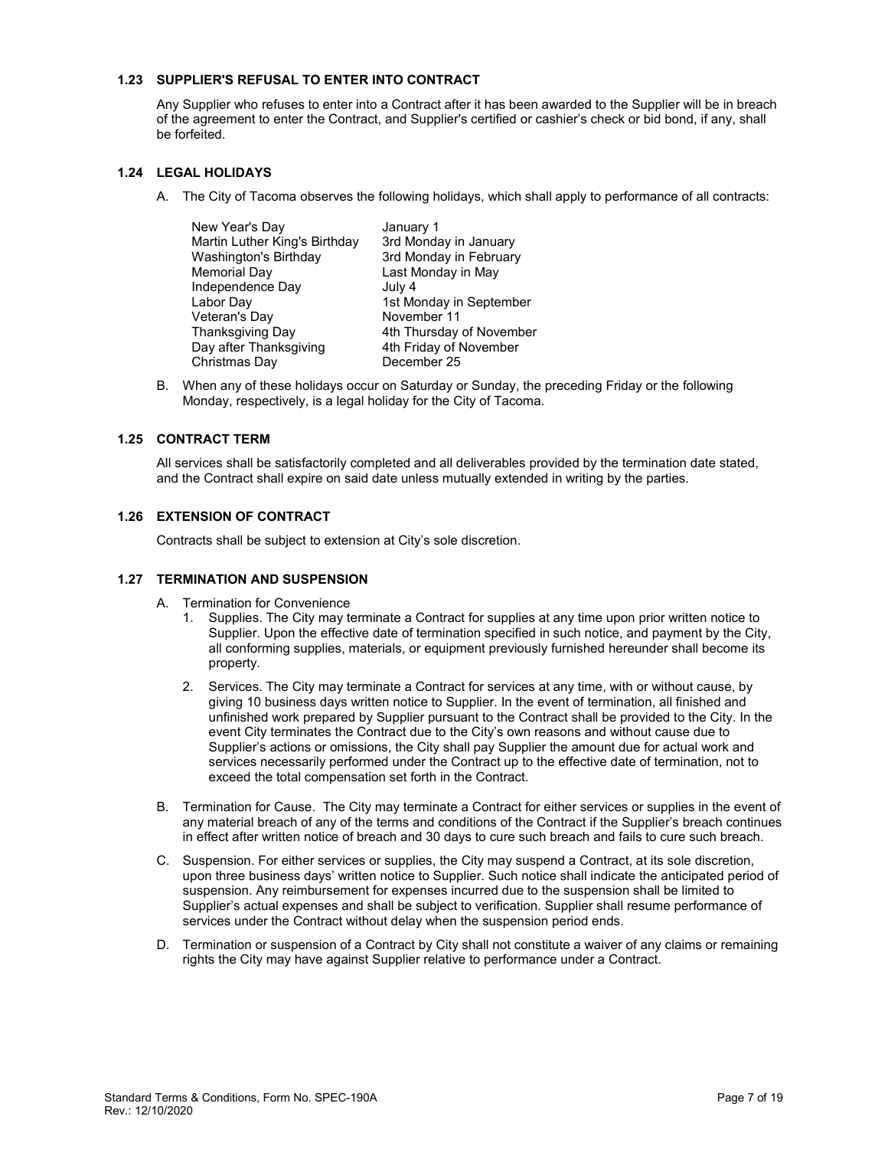# **1.23 SUPPLIER'S REFUSAL TO ENTER INTO CONTRACT**

Any Supplier who refuses to enter into a Contract after it has been awarded to the Supplier will be in breach of the agreement to enter the Contract, and Supplier's certified or cashier's check or bid bond, if any, shall be forfeited.

# **1.24 LEGAL HOLIDAYS**

A. The City of Tacoma observes the following holidays, which shall apply to performance of all contracts:

| New Year's Day                | January 1                |
|-------------------------------|--------------------------|
| Martin Luther King's Birthday | 3rd Monday in January    |
| Washington's Birthday         | 3rd Monday in February   |
| <b>Memorial Day</b>           | Last Monday in May       |
| Independence Day              | July 4                   |
| Labor Day                     | 1st Monday in September  |
| Veteran's Day                 | November 11              |
| Thanksgiving Day              | 4th Thursday of November |
| Day after Thanksgiving        | 4th Friday of November   |
| Christmas Day                 | December 25              |

B. When any of these holidays occur on Saturday or Sunday, the preceding Friday or the following Monday, respectively, is a legal holiday for the City of Tacoma.

# **1.25 CONTRACT TERM**

All services shall be satisfactorily completed and all deliverables provided by the termination date stated, and the Contract shall expire on said date unless mutually extended in writing by the parties.

# **1.26 EXTENSION OF CONTRACT**

Contracts shall be subject to extension at City's sole discretion.

### **1.27 TERMINATION AND SUSPENSION**

- A. Termination for Convenience
	- 1. Supplies. The City may terminate a Contract for supplies at any time upon prior written notice to Supplier. Upon the effective date of termination specified in such notice, and payment by the City, all conforming supplies, materials, or equipment previously furnished hereunder shall become its property.
	- 2. Services. The City may terminate a Contract for services at any time, with or without cause, by giving 10 business days written notice to Supplier. In the event of termination, all finished and unfinished work prepared by Supplier pursuant to the Contract shall be provided to the City. In the event City terminates the Contract due to the City's own reasons and without cause due to Supplier's actions or omissions, the City shall pay Supplier the amount due for actual work and services necessarily performed under the Contract up to the effective date of termination, not to exceed the total compensation set forth in the Contract.
- B. Termination for Cause. The City may terminate a Contract for either services or supplies in the event of any material breach of any of the terms and conditions of the Contract if the Supplier's breach continues in effect after written notice of breach and 30 days to cure such breach and fails to cure such breach.
- C. Suspension. For either services or supplies, the City may suspend a Contract, at its sole discretion, upon three business days' written notice to Supplier. Such notice shall indicate the anticipated period of suspension. Any reimbursement for expenses incurred due to the suspension shall be limited to Supplier's actual expenses and shall be subject to verification. Supplier shall resume performance of services under the Contract without delay when the suspension period ends.
- D. Termination or suspension of a Contract by City shall not constitute a waiver of any claims or remaining rights the City may have against Supplier relative to performance under a Contract.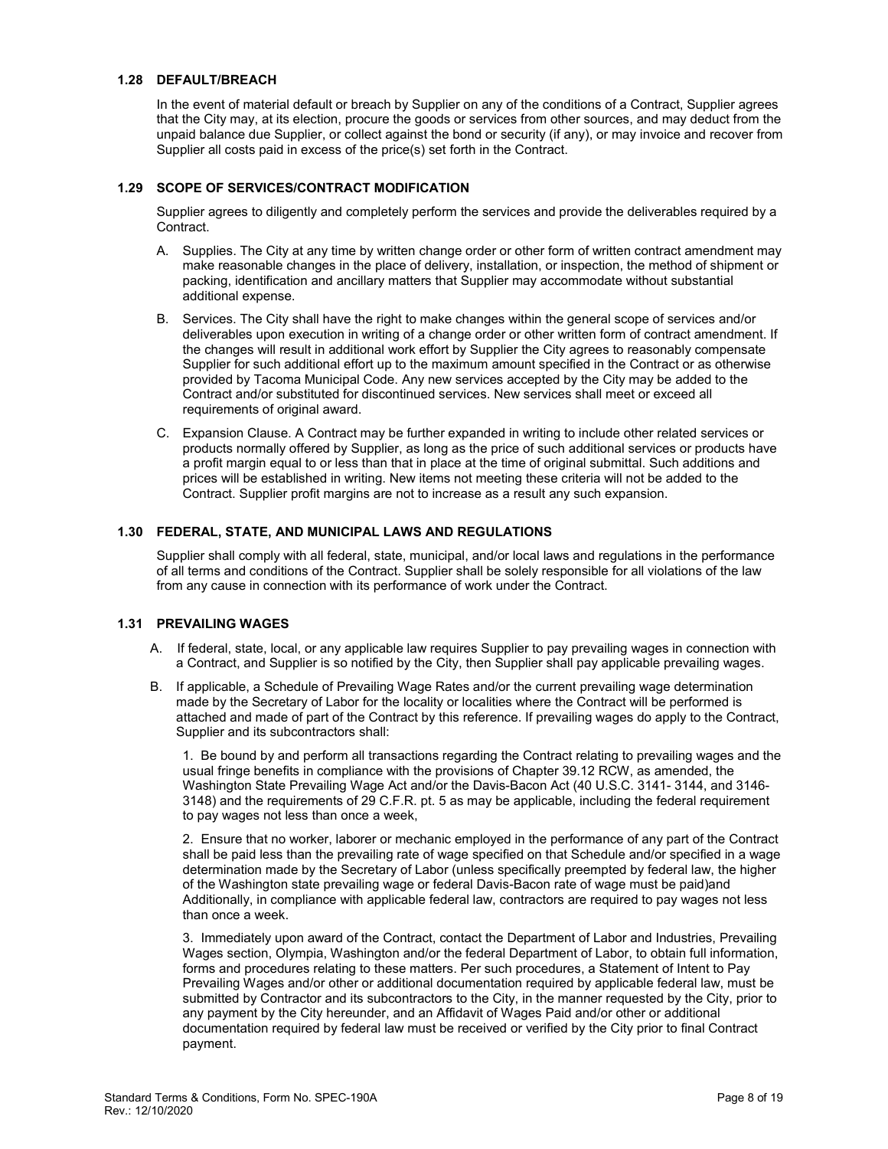#### **1.28 DEFAULT/BREACH**

In the event of material default or breach by Supplier on any of the conditions of a Contract, Supplier agrees that the City may, at its election, procure the goods or services from other sources, and may deduct from the unpaid balance due Supplier, or collect against the bond or security (if any), or may invoice and recover from Supplier all costs paid in excess of the price(s) set forth in the Contract.

# **1.29 SCOPE OF SERVICES/CONTRACT MODIFICATION**

Supplier agrees to diligently and completely perform the services and provide the deliverables required by a Contract.

- A. Supplies. The City at any time by written change order or other form of written contract amendment may make reasonable changes in the place of delivery, installation, or inspection, the method of shipment or packing, identification and ancillary matters that Supplier may accommodate without substantial additional expense.
- B. Services. The City shall have the right to make changes within the general scope of services and/or deliverables upon execution in writing of a change order or other written form of contract amendment. If the changes will result in additional work effort by Supplier the City agrees to reasonably compensate Supplier for such additional effort up to the maximum amount specified in the Contract or as otherwise provided by Tacoma Municipal Code. Any new services accepted by the City may be added to the Contract and/or substituted for discontinued services. New services shall meet or exceed all requirements of original award.
- C. Expansion Clause. A Contract may be further expanded in writing to include other related services or products normally offered by Supplier, as long as the price of such additional services or products have a profit margin equal to or less than that in place at the time of original submittal. Such additions and prices will be established in writing. New items not meeting these criteria will not be added to the Contract. Supplier profit margins are not to increase as a result any such expansion.

### **1.30 FEDERAL, STATE, AND MUNICIPAL LAWS AND REGULATIONS**

Supplier shall comply with all federal, state, municipal, and/or local laws and regulations in the performance of all terms and conditions of the Contract. Supplier shall be solely responsible for all violations of the law from any cause in connection with its performance of work under the Contract.

#### **1.31 PREVAILING WAGES**

- A. If federal, state, local, or any applicable law requires Supplier to pay prevailing wages in connection with a Contract, and Supplier is so notified by the City, then Supplier shall pay applicable prevailing wages.
- B. If applicable, a Schedule of Prevailing Wage Rates and/or the current prevailing wage determination made by the Secretary of Labor for the locality or localities where the Contract will be performed is attached and made of part of the Contract by this reference. If prevailing wages do apply to the Contract, Supplier and its subcontractors shall:

1. Be bound by and perform all transactions regarding the Contract relating to prevailing wages and the usual fringe benefits in compliance with the provisions of Chapter 39.12 RCW, as amended, the Washington State Prevailing Wage Act and/or the Davis-Bacon Act (40 U.S.C. 3141- 3144, and 3146- 3148) and the requirements of 29 C.F.R. pt. 5 as may be applicable, including the federal requirement to pay wages not less than once a week,

2. Ensure that no worker, laborer or mechanic employed in the performance of any part of the Contract shall be paid less than the prevailing rate of wage specified on that Schedule and/or specified in a wage determination made by the Secretary of Labor (unless specifically preempted by federal law, the higher of the Washington state prevailing wage or federal Davis-Bacon rate of wage must be paid)and Additionally, in compliance with applicable federal law, contractors are required to pay wages not less than once a week.

3. Immediately upon award of the Contract, contact the Department of Labor and Industries, Prevailing Wages section, Olympia, Washington and/or the federal Department of Labor, to obtain full information, forms and procedures relating to these matters. Per such procedures, a Statement of Intent to Pay Prevailing Wages and/or other or additional documentation required by applicable federal law, must be submitted by Contractor and its subcontractors to the City, in the manner requested by the City, prior to any payment by the City hereunder, and an Affidavit of Wages Paid and/or other or additional documentation required by federal law must be received or verified by the City prior to final Contract payment.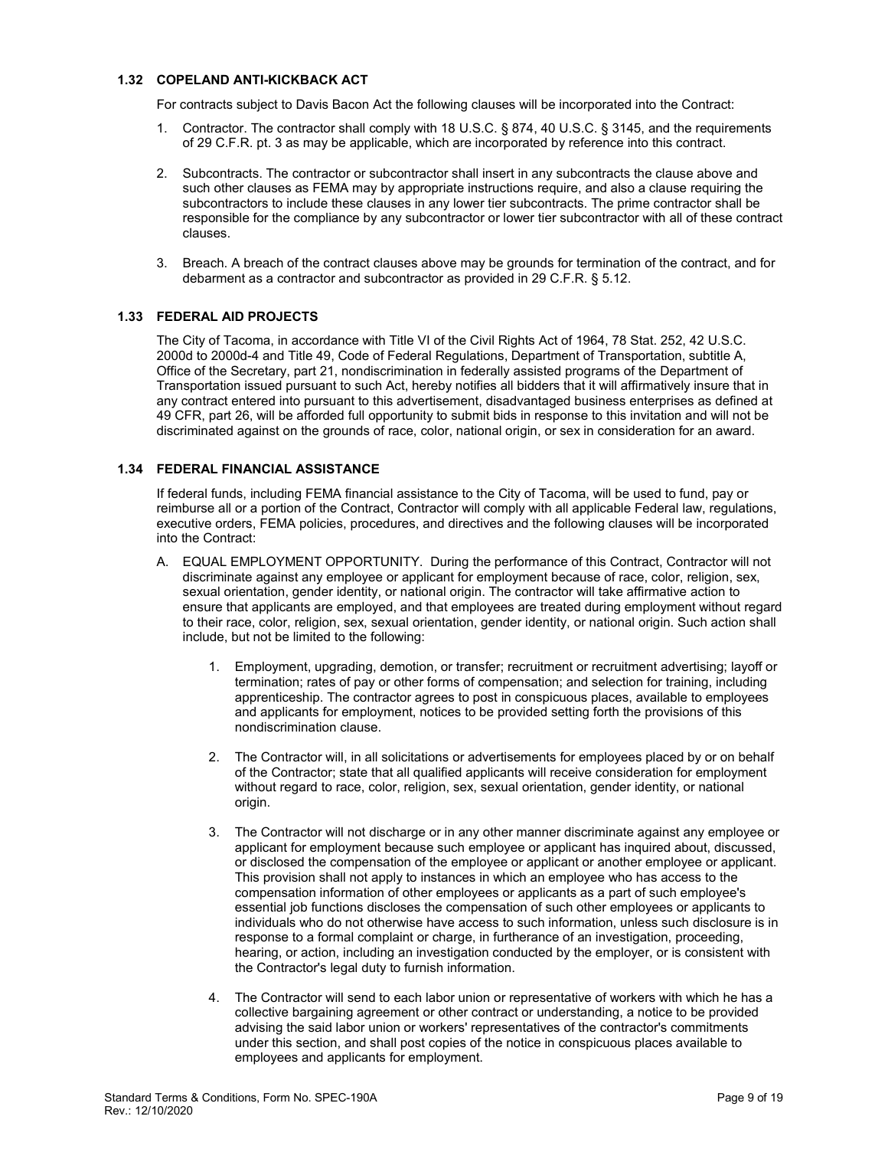# **1.32 COPELAND ANTI-KICKBACK ACT**

For contracts subject to Davis Bacon Act the following clauses will be incorporated into the Contract:

- 1. Contractor. The contractor shall comply with 18 U.S.C. § 874, 40 U.S.C. § 3145, and the requirements of 29 C.F.R. pt. 3 as may be applicable, which are incorporated by reference into this contract.
- 2. Subcontracts. The contractor or subcontractor shall insert in any subcontracts the clause above and such other clauses as FEMA may by appropriate instructions require, and also a clause requiring the subcontractors to include these clauses in any lower tier subcontracts. The prime contractor shall be responsible for the compliance by any subcontractor or lower tier subcontractor with all of these contract clauses.
- 3. Breach. A breach of the contract clauses above may be grounds for termination of the contract, and for debarment as a contractor and subcontractor as provided in 29 C.F.R. § 5.12.

### **1.33 FEDERAL AID PROJECTS**

The City of Tacoma, in accordance with Title VI of the Civil Rights Act of 1964, 78 Stat. 252, 42 U.S.C. 2000d to 2000d-4 and Title 49, Code of Federal Regulations, Department of Transportation, subtitle A, Office of the Secretary, part 21, nondiscrimination in federally assisted programs of the Department of Transportation issued pursuant to such Act, hereby notifies all bidders that it will affirmatively insure that in any contract entered into pursuant to this advertisement, disadvantaged business enterprises as defined at 49 CFR, part 26, will be afforded full opportunity to submit bids in response to this invitation and will not be discriminated against on the grounds of race, color, national origin, or sex in consideration for an award.

# **1.34 FEDERAL FINANCIAL ASSISTANCE**

If federal funds, including FEMA financial assistance to the City of Tacoma, will be used to fund, pay or reimburse all or a portion of the Contract, Contractor will comply with all applicable Federal law, regulations, executive orders, FEMA policies, procedures, and directives and the following clauses will be incorporated into the Contract:

- A. EQUAL EMPLOYMENT OPPORTUNITY. During the performance of this Contract, Contractor will not discriminate against any employee or applicant for employment because of race, color, religion, sex, sexual orientation, gender identity, or national origin. The contractor will take affirmative action to ensure that applicants are employed, and that employees are treated during employment without regard to their race, color, religion, sex, sexual orientation, gender identity, or national origin. Such action shall include, but not be limited to the following:
	- 1. Employment, upgrading, demotion, or transfer; recruitment or recruitment advertising; layoff or termination; rates of pay or other forms of compensation; and selection for training, including apprenticeship. The contractor agrees to post in conspicuous places, available to employees and applicants for employment, notices to be provided setting forth the provisions of this nondiscrimination clause.
	- 2. The Contractor will, in all solicitations or advertisements for employees placed by or on behalf of the Contractor; state that all qualified applicants will receive consideration for employment without regard to race, color, religion, sex, sexual orientation, gender identity, or national origin.
	- 3. The Contractor will not discharge or in any other manner discriminate against any employee or applicant for employment because such employee or applicant has inquired about, discussed, or disclosed the compensation of the employee or applicant or another employee or applicant. This provision shall not apply to instances in which an employee who has access to the compensation information of other employees or applicants as a part of such employee's essential job functions discloses the compensation of such other employees or applicants to individuals who do not otherwise have access to such information, unless such disclosure is in response to a formal complaint or charge, in furtherance of an investigation, proceeding, hearing, or action, including an investigation conducted by the employer, or is consistent with the Contractor's legal duty to furnish information.
	- 4. The Contractor will send to each labor union or representative of workers with which he has a collective bargaining agreement or other contract or understanding, a notice to be provided advising the said labor union or workers' representatives of the contractor's commitments under this section, and shall post copies of the notice in conspicuous places available to employees and applicants for employment.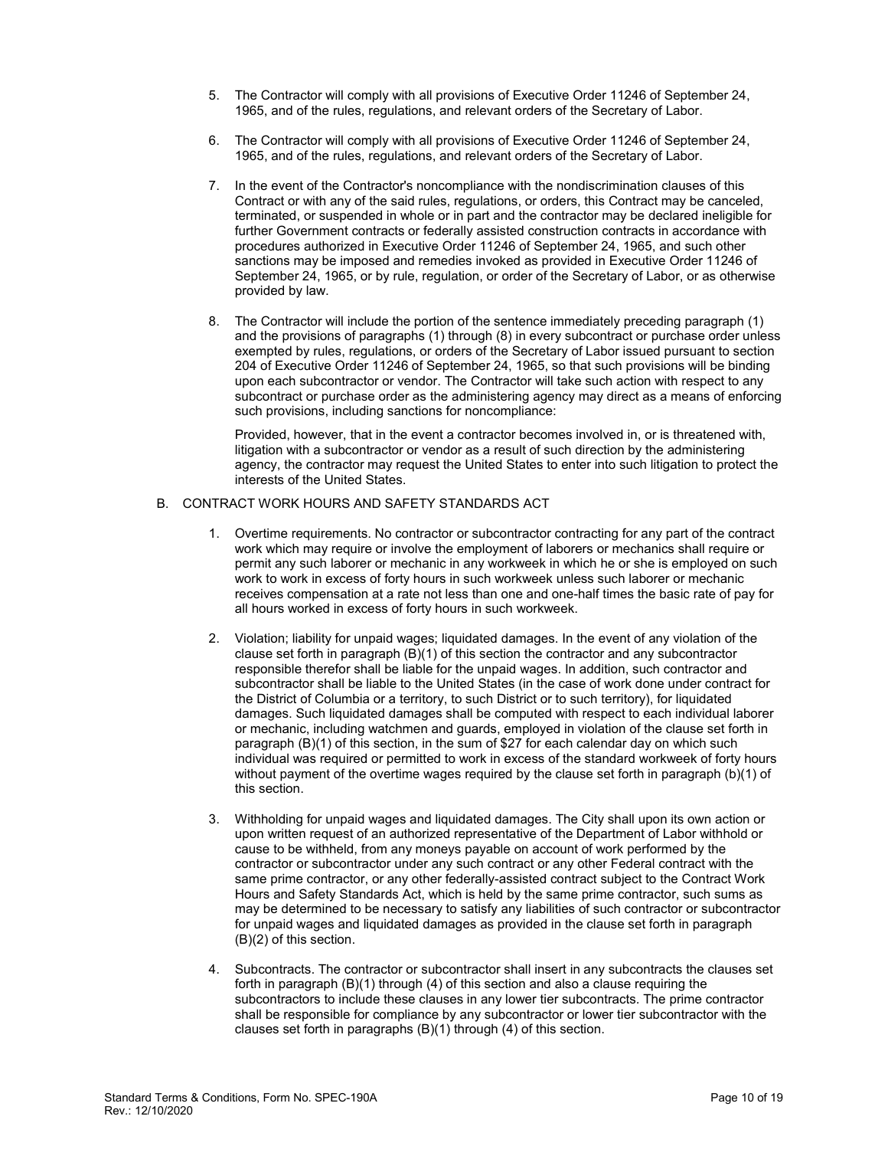- 5. The Contractor will comply with all provisions of Executive Order 11246 of September 24, 1965, and of the rules, regulations, and relevant orders of the Secretary of Labor.
- 6. The Contractor will comply with all provisions of Executive Order 11246 of September 24, 1965, and of the rules, regulations, and relevant orders of the Secretary of Labor.
- 7. In the event of the Contractor's noncompliance with the nondiscrimination clauses of this Contract or with any of the said rules, regulations, or orders, this Contract may be canceled, terminated, or suspended in whole or in part and the contractor may be declared ineligible for further Government contracts or federally assisted construction contracts in accordance with procedures authorized in Executive Order 11246 of September 24, 1965, and such other sanctions may be imposed and remedies invoked as provided in Executive Order 11246 of September 24, 1965, or by rule, regulation, or order of the Secretary of Labor, or as otherwise provided by law.
- 8. The Contractor will include the portion of the sentence immediately preceding paragraph (1) and the provisions of paragraphs (1) through (8) in every subcontract or purchase order unless exempted by rules, regulations, or orders of the Secretary of Labor issued pursuant to section 204 of Executive Order 11246 of September 24, 1965, so that such provisions will be binding upon each subcontractor or vendor. The Contractor will take such action with respect to any subcontract or purchase order as the administering agency may direct as a means of enforcing such provisions, including sanctions for noncompliance:

Provided, however, that in the event a contractor becomes involved in, or is threatened with, litigation with a subcontractor or vendor as a result of such direction by the administering agency, the contractor may request the United States to enter into such litigation to protect the interests of the United States.

### B. CONTRACT WORK HOURS AND SAFETY STANDARDS ACT

- 1. Overtime requirements. No contractor or subcontractor contracting for any part of the contract work which may require or involve the employment of laborers or mechanics shall require or permit any such laborer or mechanic in any workweek in which he or she is employed on such work to work in excess of forty hours in such workweek unless such laborer or mechanic receives compensation at a rate not less than one and one-half times the basic rate of pay for all hours worked in excess of forty hours in such workweek.
- 2. Violation; liability for unpaid wages; liquidated damages. In the event of any violation of the clause set forth in paragraph (B)(1) of this section the contractor and any subcontractor responsible therefor shall be liable for the unpaid wages. In addition, such contractor and subcontractor shall be liable to the United States (in the case of work done under contract for the District of Columbia or a territory, to such District or to such territory), for liquidated damages. Such liquidated damages shall be computed with respect to each individual laborer or mechanic, including watchmen and guards, employed in violation of the clause set forth in paragraph (B)(1) of this section, in the sum of \$27 for each calendar day on which such individual was required or permitted to work in excess of the standard workweek of forty hours without payment of the overtime wages required by the clause set forth in paragraph (b)(1) of this section.
- 3. Withholding for unpaid wages and liquidated damages. The City shall upon its own action or upon written request of an authorized representative of the Department of Labor withhold or cause to be withheld, from any moneys payable on account of work performed by the contractor or subcontractor under any such contract or any other Federal contract with the same prime contractor, or any other federally-assisted contract subject to the Contract Work Hours and Safety Standards Act, which is held by the same prime contractor, such sums as may be determined to be necessary to satisfy any liabilities of such contractor or subcontractor for unpaid wages and liquidated damages as provided in the clause set forth in paragraph (B)(2) of this section.
- 4. Subcontracts. The contractor or subcontractor shall insert in any subcontracts the clauses set forth in paragraph  $(B)(1)$  through  $(4)$  of this section and also a clause requiring the subcontractors to include these clauses in any lower tier subcontracts. The prime contractor shall be responsible for compliance by any subcontractor or lower tier subcontractor with the clauses set forth in paragraphs (B)(1) through (4) of this section.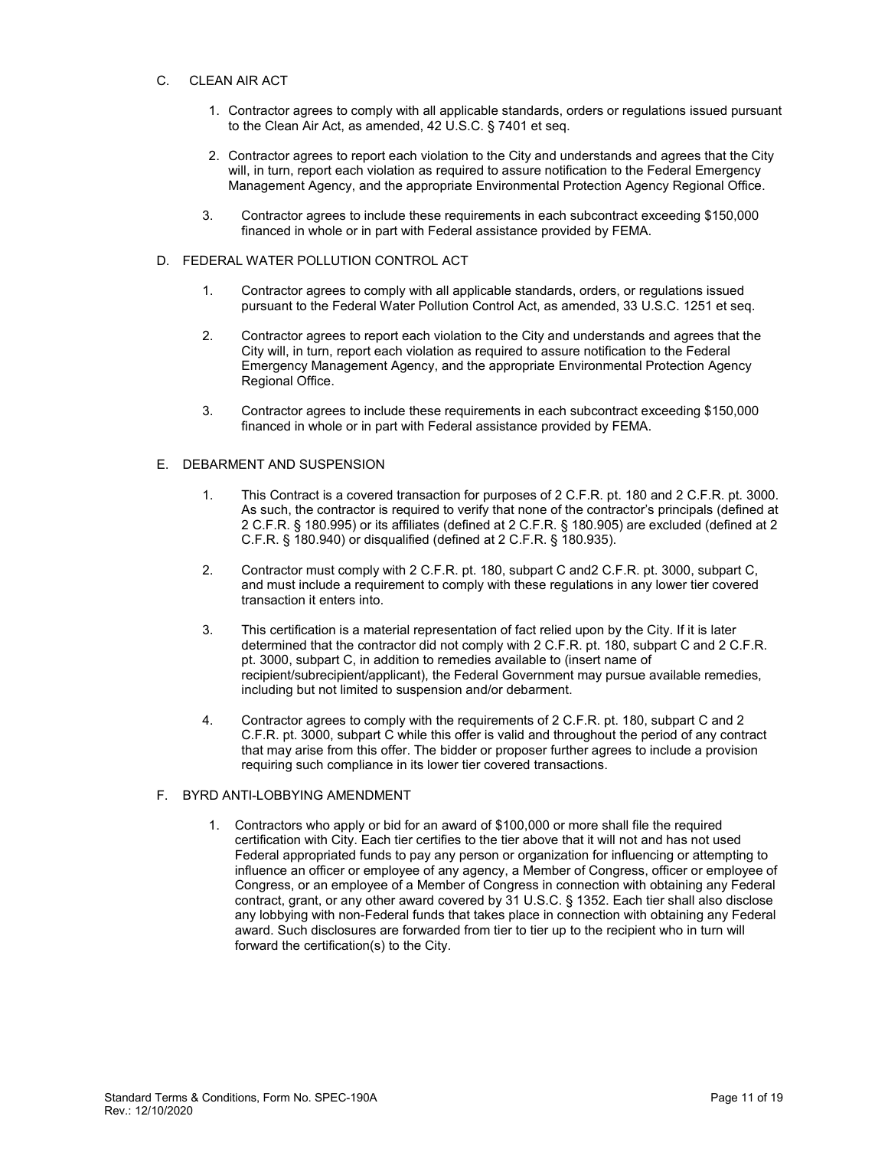# C. CLEAN AIR ACT

- 1. Contractor agrees to comply with all applicable standards, orders or regulations issued pursuant to the Clean Air Act, as amended, 42 U.S.C. § 7401 et seq.
- 2. Contractor agrees to report each violation to the City and understands and agrees that the City will, in turn, report each violation as required to assure notification to the Federal Emergency Management Agency, and the appropriate Environmental Protection Agency Regional Office.
- 3. Contractor agrees to include these requirements in each subcontract exceeding \$150,000 financed in whole or in part with Federal assistance provided by FEMA.

### D. FEDERAL WATER POLLUTION CONTROL ACT

- 1. Contractor agrees to comply with all applicable standards, orders, or regulations issued pursuant to the Federal Water Pollution Control Act, as amended, 33 U.S.C. 1251 et seq.
- 2. Contractor agrees to report each violation to the City and understands and agrees that the City will, in turn, report each violation as required to assure notification to the Federal Emergency Management Agency, and the appropriate Environmental Protection Agency Regional Office.
- 3. Contractor agrees to include these requirements in each subcontract exceeding \$150,000 financed in whole or in part with Federal assistance provided by FEMA.

#### E. DEBARMENT AND SUSPENSION

- 1. This Contract is a covered transaction for purposes of 2 C.F.R. pt. 180 and 2 C.F.R. pt. 3000. As such, the contractor is required to verify that none of the contractor's principals (defined at 2 C.F.R. § 180.995) or its affiliates (defined at 2 C.F.R. § 180.905) are excluded (defined at 2 C.F.R. § 180.940) or disqualified (defined at 2 C.F.R. § 180.935).
- 2. Contractor must comply with 2 C.F.R. pt. 180, subpart C and2 C.F.R. pt. 3000, subpart C, and must include a requirement to comply with these regulations in any lower tier covered transaction it enters into.
- 3. This certification is a material representation of fact relied upon by the City. If it is later determined that the contractor did not comply with 2 C.F.R. pt. 180, subpart C and 2 C.F.R. pt. 3000, subpart C, in addition to remedies available to (insert name of recipient/subrecipient/applicant), the Federal Government may pursue available remedies, including but not limited to suspension and/or debarment.
- 4. Contractor agrees to comply with the requirements of 2 C.F.R. pt. 180, subpart C and 2 C.F.R. pt. 3000, subpart C while this offer is valid and throughout the period of any contract that may arise from this offer. The bidder or proposer further agrees to include a provision requiring such compliance in its lower tier covered transactions.
- F. BYRD ANTI-LOBBYING AMENDMENT
	- 1. Contractors who apply or bid for an award of \$100,000 or more shall file the required certification with City. Each tier certifies to the tier above that it will not and has not used Federal appropriated funds to pay any person or organization for influencing or attempting to influence an officer or employee of any agency, a Member of Congress, officer or employee of Congress, or an employee of a Member of Congress in connection with obtaining any Federal contract, grant, or any other award covered by 31 U.S.C. § 1352. Each tier shall also disclose any lobbying with non-Federal funds that takes place in connection with obtaining any Federal award. Such disclosures are forwarded from tier to tier up to the recipient who in turn will forward the certification(s) to the City.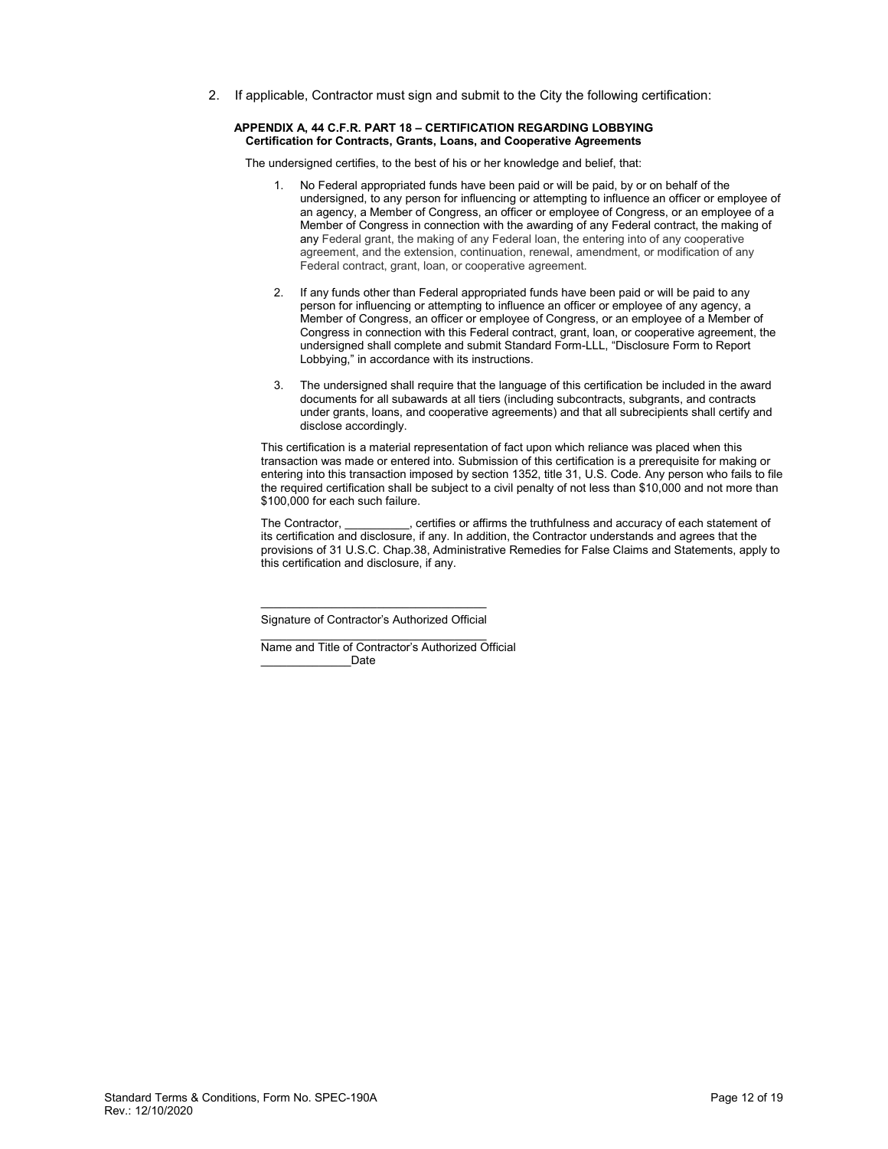2. If applicable, Contractor must sign and submit to the City the following certification:

#### **APPENDIX A, 44 C.F.R. PART 18 – CERTIFICATION REGARDING LOBBYING Certification for Contracts, Grants, Loans, and Cooperative Agreements**

The undersigned certifies, to the best of his or her knowledge and belief, that:

- 1. No Federal appropriated funds have been paid or will be paid, by or on behalf of the undersigned, to any person for influencing or attempting to influence an officer or employee of an agency, a Member of Congress, an officer or employee of Congress, or an employee of a Member of Congress in connection with the awarding of any Federal contract, the making of any Federal grant, the making of any Federal loan, the entering into of any cooperative agreement, and the extension, continuation, renewal, amendment, or modification of any Federal contract, grant, loan, or cooperative agreement.
- 2. If any funds other than Federal appropriated funds have been paid or will be paid to any person for influencing or attempting to influence an officer or employee of any agency, a Member of Congress, an officer or employee of Congress, or an employee of a Member of Congress in connection with this Federal contract, grant, loan, or cooperative agreement, the undersigned shall complete and submit Standard Form-LLL, "Disclosure Form to Report Lobbying," in accordance with its instructions.
- 3. The undersigned shall require that the language of this certification be included in the award documents for all subawards at all tiers (including subcontracts, subgrants, and contracts under grants, loans, and cooperative agreements) and that all subrecipients shall certify and disclose accordingly.

This certification is a material representation of fact upon which reliance was placed when this transaction was made or entered into. Submission of this certification is a prerequisite for making or entering into this transaction imposed by section 1352, title 31, U.S. Code. Any person who fails to file the required certification shall be subject to a civil penalty of not less than \$10,000 and not more than \$100,000 for each such failure.

The Contractor, \_\_\_\_\_\_\_\_\_\_, certifies or affirms the truthfulness and accuracy of each statement of its certification and disclosure, if any. In addition, the Contractor understands and agrees that the provisions of 31 U.S.C. Chap.38, Administrative Remedies for False Claims and Statements, apply to this certification and disclosure, if any.

 $\_$ Signature of Contractor's Authorized Official

 $\overline{\phantom{a}}$  , and the contract of the contract of the contract of the contract of the contract of the contract of the contract of the contract of the contract of the contract of the contract of the contract of the contrac Name and Title of Contractor's Authorized Official Date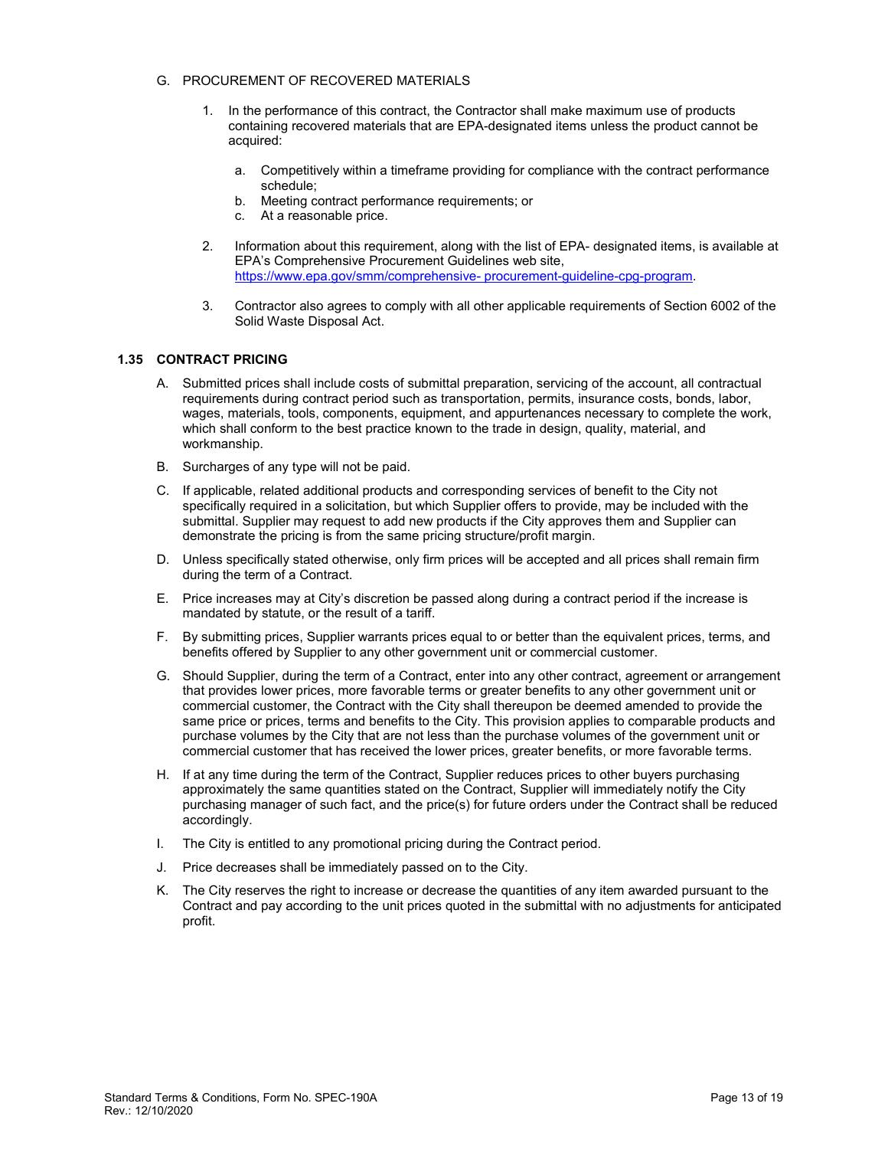# G. PROCUREMENT OF RECOVERED MATERIALS

- 1. In the performance of this contract, the Contractor shall make maximum use of products containing recovered materials that are EPA-designated items unless the product cannot be acquired:
	- a. Competitively within a timeframe providing for compliance with the contract performance schedule;
	- b. Meeting contract performance requirements; or
	- c. At a reasonable price.
- 2. Information about this requirement, along with the list of EPA- designated items, is available at EPA's Comprehensive Procurement Guidelines web site, [https://www.epa.gov/smm/comprehensive-](https://www.epa.gov/smm/comprehensive-%20procurement-guideline-cpg-program) procurement-guideline-cpg-program.
- 3. Contractor also agrees to comply with all other applicable requirements of Section 6002 of the Solid Waste Disposal Act.

# **1.35 CONTRACT PRICING**

- A. Submitted prices shall include costs of submittal preparation, servicing of the account, all contractual requirements during contract period such as transportation, permits, insurance costs, bonds, labor, wages, materials, tools, components, equipment, and appurtenances necessary to complete the work, which shall conform to the best practice known to the trade in design, quality, material, and workmanship.
- B. Surcharges of any type will not be paid.
- C. If applicable, related additional products and corresponding services of benefit to the City not specifically required in a solicitation, but which Supplier offers to provide, may be included with the submittal. Supplier may request to add new products if the City approves them and Supplier can demonstrate the pricing is from the same pricing structure/profit margin.
- D. Unless specifically stated otherwise, only firm prices will be accepted and all prices shall remain firm during the term of a Contract.
- E. Price increases may at City's discretion be passed along during a contract period if the increase is mandated by statute, or the result of a tariff.
- F. By submitting prices, Supplier warrants prices equal to or better than the equivalent prices, terms, and benefits offered by Supplier to any other government unit or commercial customer.
- G. Should Supplier, during the term of a Contract, enter into any other contract, agreement or arrangement that provides lower prices, more favorable terms or greater benefits to any other government unit or commercial customer, the Contract with the City shall thereupon be deemed amended to provide the same price or prices, terms and benefits to the City. This provision applies to comparable products and purchase volumes by the City that are not less than the purchase volumes of the government unit or commercial customer that has received the lower prices, greater benefits, or more favorable terms.
- H. If at any time during the term of the Contract, Supplier reduces prices to other buyers purchasing approximately the same quantities stated on the Contract, Supplier will immediately notify the City purchasing manager of such fact, and the price(s) for future orders under the Contract shall be reduced accordingly.
- I. The City is entitled to any promotional pricing during the Contract period.
- J. Price decreases shall be immediately passed on to the City.
- K. The City reserves the right to increase or decrease the quantities of any item awarded pursuant to the Contract and pay according to the unit prices quoted in the submittal with no adjustments for anticipated profit.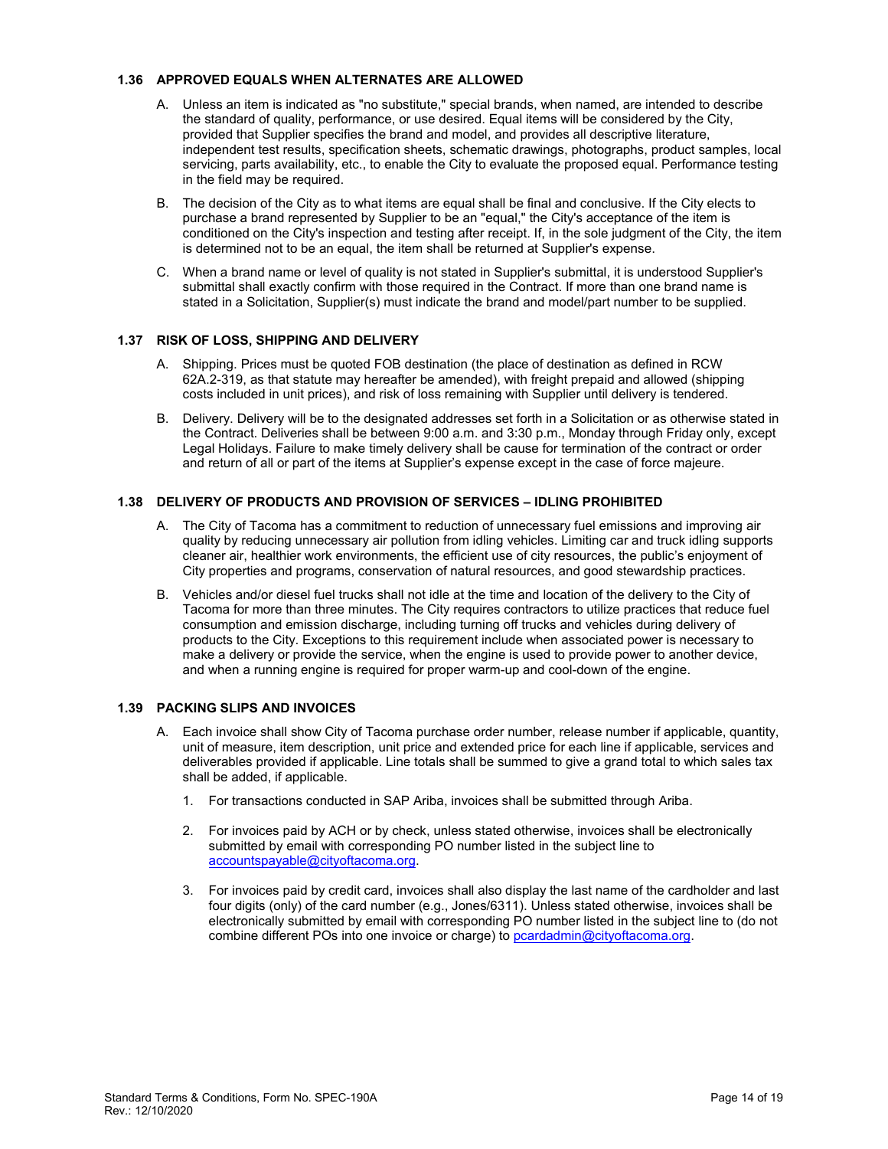# **1.36 APPROVED EQUALS WHEN ALTERNATES ARE ALLOWED**

- A. Unless an item is indicated as "no substitute," special brands, when named, are intended to describe the standard of quality, performance, or use desired. Equal items will be considered by the City, provided that Supplier specifies the brand and model, and provides all descriptive literature, independent test results, specification sheets, schematic drawings, photographs, product samples, local servicing, parts availability, etc., to enable the City to evaluate the proposed equal. Performance testing in the field may be required.
- B. The decision of the City as to what items are equal shall be final and conclusive. If the City elects to purchase a brand represented by Supplier to be an "equal," the City's acceptance of the item is conditioned on the City's inspection and testing after receipt. If, in the sole judgment of the City, the item is determined not to be an equal, the item shall be returned at Supplier's expense.
- C. When a brand name or level of quality is not stated in Supplier's submittal, it is understood Supplier's submittal shall exactly confirm with those required in the Contract. If more than one brand name is stated in a Solicitation, Supplier(s) must indicate the brand and model/part number to be supplied.

# **1.37 RISK OF LOSS, SHIPPING AND DELIVERY**

- A. Shipping. Prices must be quoted FOB destination (the place of destination as defined in RCW 62A.2-319, as that statute may hereafter be amended), with freight prepaid and allowed (shipping costs included in unit prices), and risk of loss remaining with Supplier until delivery is tendered.
- B. Delivery. Delivery will be to the designated addresses set forth in a Solicitation or as otherwise stated in the Contract. Deliveries shall be between 9:00 a.m. and 3:30 p.m., Monday through Friday only, except Legal Holidays. Failure to make timely delivery shall be cause for termination of the contract or order and return of all or part of the items at Supplier's expense except in the case of force majeure.

# **1.38 DELIVERY OF PRODUCTS AND PROVISION OF SERVICES – IDLING PROHIBITED**

- A. The City of Tacoma has a commitment to reduction of unnecessary fuel emissions and improving air quality by reducing unnecessary air pollution from idling vehicles. Limiting car and truck idling supports cleaner air, healthier work environments, the efficient use of city resources, the public's enjoyment of City properties and programs, conservation of natural resources, and good stewardship practices.
- B. Vehicles and/or diesel fuel trucks shall not idle at the time and location of the delivery to the City of Tacoma for more than three minutes. The City requires contractors to utilize practices that reduce fuel consumption and emission discharge, including turning off trucks and vehicles during delivery of products to the City. Exceptions to this requirement include when associated power is necessary to make a delivery or provide the service, when the engine is used to provide power to another device, and when a running engine is required for proper warm-up and cool-down of the engine.

### **1.39 PACKING SLIPS AND INVOICES**

- A. Each invoice shall show City of Tacoma purchase order number, release number if applicable, quantity, unit of measure, item description, unit price and extended price for each line if applicable, services and deliverables provided if applicable. Line totals shall be summed to give a grand total to which sales tax shall be added, if applicable.
	- 1. For transactions conducted in SAP Ariba, invoices shall be submitted through Ariba.
	- 2. For invoices paid by ACH or by check, unless stated otherwise, invoices shall be electronically submitted by email with corresponding PO number listed in the subject line to [accountspayable@cityoftacoma.org.](mailto:accountspayable@cityoftacoma.org)
	- 3. For invoices paid by credit card, invoices shall also display the last name of the cardholder and last four digits (only) of the card number (e.g., Jones/6311). Unless stated otherwise, invoices shall be electronically submitted by email with corresponding PO number listed in the subject line to (do not combine different POs into one invoice or charge) to [pcardadmin@cityoftacoma.org.](mailto:pcardadmin@cityoftacoma.org)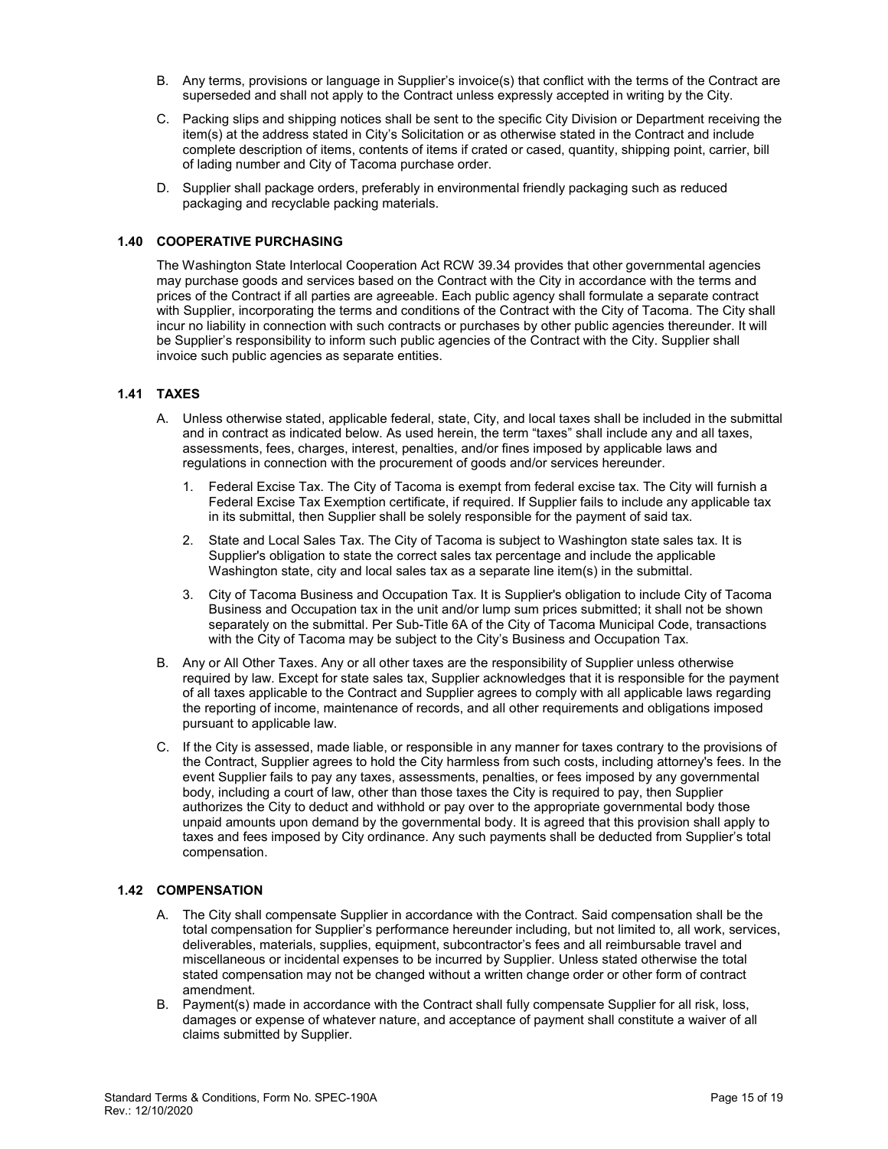- B. Any terms, provisions or language in Supplier's invoice(s) that conflict with the terms of the Contract are superseded and shall not apply to the Contract unless expressly accepted in writing by the City.
- C. Packing slips and shipping notices shall be sent to the specific City Division or Department receiving the item(s) at the address stated in City's Solicitation or as otherwise stated in the Contract and include complete description of items, contents of items if crated or cased, quantity, shipping point, carrier, bill of lading number and City of Tacoma purchase order.
- D. Supplier shall package orders, preferably in environmental friendly packaging such as reduced packaging and recyclable packing materials.

#### **1.40 COOPERATIVE PURCHASING**

The Washington State Interlocal Cooperation Act RCW 39.34 provides that other governmental agencies may purchase goods and services based on the Contract with the City in accordance with the terms and prices of the Contract if all parties are agreeable. Each public agency shall formulate a separate contract with Supplier, incorporating the terms and conditions of the Contract with the City of Tacoma. The City shall incur no liability in connection with such contracts or purchases by other public agencies thereunder. It will be Supplier's responsibility to inform such public agencies of the Contract with the City. Supplier shall invoice such public agencies as separate entities.

### **1.41 TAXES**

- A. Unless otherwise stated, applicable federal, state, City, and local taxes shall be included in the submittal and in contract as indicated below. As used herein, the term "taxes" shall include any and all taxes, assessments, fees, charges, interest, penalties, and/or fines imposed by applicable laws and regulations in connection with the procurement of goods and/or services hereunder.
	- 1. Federal Excise Tax. The City of Tacoma is exempt from federal excise tax. The City will furnish a Federal Excise Tax Exemption certificate, if required. If Supplier fails to include any applicable tax in its submittal, then Supplier shall be solely responsible for the payment of said tax.
	- 2. State and Local Sales Tax. The City of Tacoma is subject to Washington state sales tax. It is Supplier's obligation to state the correct sales tax percentage and include the applicable Washington state, city and local sales tax as a separate line item(s) in the submittal.
	- 3. City of Tacoma Business and Occupation Tax. It is Supplier's obligation to include City of Tacoma Business and Occupation tax in the unit and/or lump sum prices submitted; it shall not be shown separately on the submittal. Per Sub-Title 6A of the City of Tacoma Municipal Code, transactions with the City of Tacoma may be subject to the City's Business and Occupation Tax.
- B. Any or All Other Taxes. Any or all other taxes are the responsibility of Supplier unless otherwise required by law. Except for state sales tax, Supplier acknowledges that it is responsible for the payment of all taxes applicable to the Contract and Supplier agrees to comply with all applicable laws regarding the reporting of income, maintenance of records, and all other requirements and obligations imposed pursuant to applicable law.
- C. If the City is assessed, made liable, or responsible in any manner for taxes contrary to the provisions of the Contract, Supplier agrees to hold the City harmless from such costs, including attorney's fees. In the event Supplier fails to pay any taxes, assessments, penalties, or fees imposed by any governmental body, including a court of law, other than those taxes the City is required to pay, then Supplier authorizes the City to deduct and withhold or pay over to the appropriate governmental body those unpaid amounts upon demand by the governmental body. It is agreed that this provision shall apply to taxes and fees imposed by City ordinance. Any such payments shall be deducted from Supplier's total compensation.

### **1.42 COMPENSATION**

- A. The City shall compensate Supplier in accordance with the Contract. Said compensation shall be the total compensation for Supplier's performance hereunder including, but not limited to, all work, services, deliverables, materials, supplies, equipment, subcontractor's fees and all reimbursable travel and miscellaneous or incidental expenses to be incurred by Supplier. Unless stated otherwise the total stated compensation may not be changed without a written change order or other form of contract amendment.
- B. Payment(s) made in accordance with the Contract shall fully compensate Supplier for all risk, loss, damages or expense of whatever nature, and acceptance of payment shall constitute a waiver of all claims submitted by Supplier.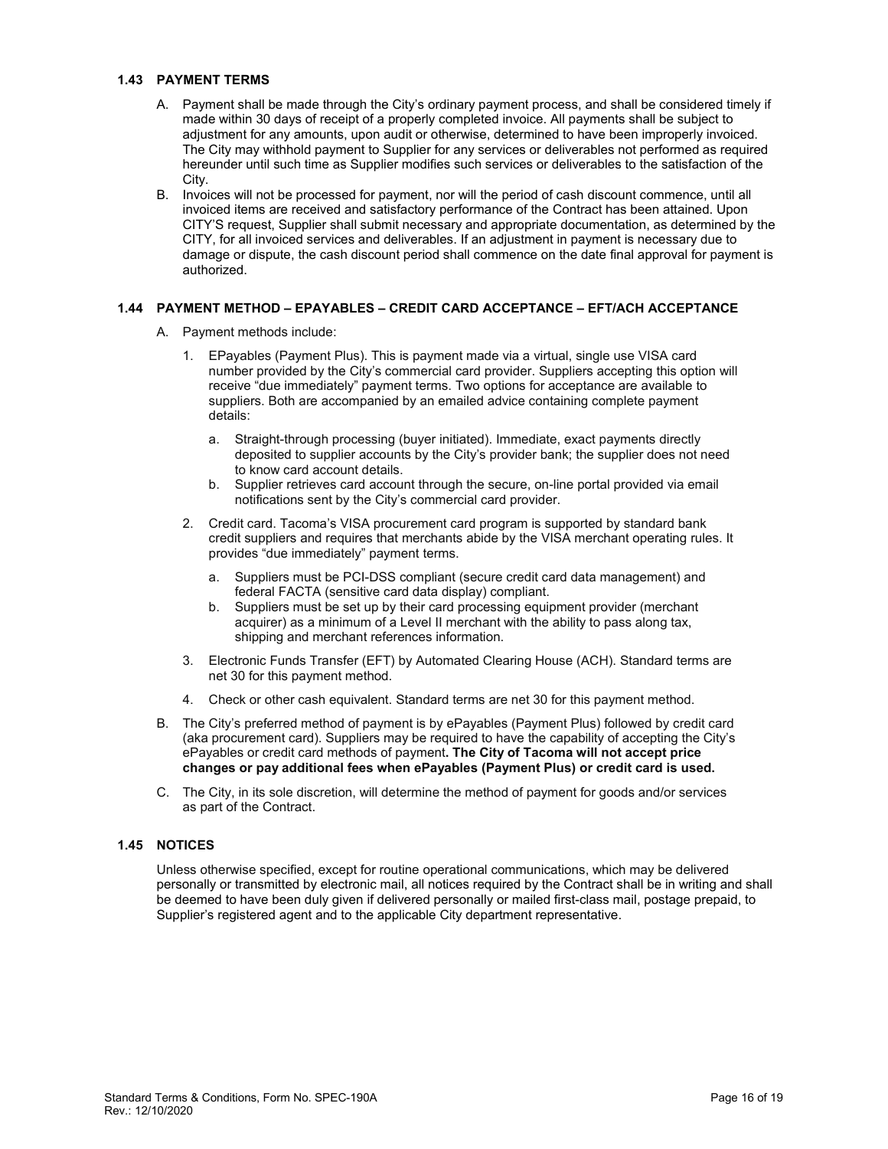### **1.43 PAYMENT TERMS**

- A. Payment shall be made through the City's ordinary payment process, and shall be considered timely if made within 30 days of receipt of a properly completed invoice. All payments shall be subject to adjustment for any amounts, upon audit or otherwise, determined to have been improperly invoiced. The City may withhold payment to Supplier for any services or deliverables not performed as required hereunder until such time as Supplier modifies such services or deliverables to the satisfaction of the City.
- B. Invoices will not be processed for payment, nor will the period of cash discount commence, until all invoiced items are received and satisfactory performance of the Contract has been attained. Upon CITY'S request, Supplier shall submit necessary and appropriate documentation, as determined by the CITY, for all invoiced services and deliverables. If an adjustment in payment is necessary due to damage or dispute, the cash discount period shall commence on the date final approval for payment is authorized.

# **1.44 PAYMENT METHOD – EPAYABLES – CREDIT CARD ACCEPTANCE – EFT/ACH ACCEPTANCE**

- A. Payment methods include:
	- 1. EPayables (Payment Plus). This is payment made via a virtual, single use VISA card number provided by the City's commercial card provider. Suppliers accepting this option will receive "due immediately" payment terms. Two options for acceptance are available to suppliers. Both are accompanied by an emailed advice containing complete payment details:
		- a. Straight-through processing (buyer initiated). Immediate, exact payments directly deposited to supplier accounts by the City's provider bank; the supplier does not need to know card account details.
		- b. Supplier retrieves card account through the secure, on-line portal provided via email notifications sent by the City's commercial card provider.
	- 2. Credit card. Tacoma's VISA procurement card program is supported by standard bank credit suppliers and requires that merchants abide by the VISA merchant operating rules. It provides "due immediately" payment terms.
		- a. Suppliers must be PCI-DSS compliant (secure credit card data management) and federal FACTA (sensitive card data display) compliant.
		- b. Suppliers must be set up by their card processing equipment provider (merchant acquirer) as a minimum of a Level II merchant with the ability to pass along tax, shipping and merchant references information.
	- 3. Electronic Funds Transfer (EFT) by Automated Clearing House (ACH). Standard terms are net 30 for this payment method.
	- 4. Check or other cash equivalent. Standard terms are net 30 for this payment method.
- B. The City's preferred method of payment is by ePayables (Payment Plus) followed by credit card (aka procurement card). Suppliers may be required to have the capability of accepting the City's ePayables or credit card methods of payment**. The City of Tacoma will not accept price changes or pay additional fees when ePayables (Payment Plus) or credit card is used.**
- C. The City, in its sole discretion, will determine the method of payment for goods and/or services as part of the Contract.

### **1.45 NOTICES**

Unless otherwise specified, except for routine operational communications, which may be delivered personally or transmitted by electronic mail, all notices required by the Contract shall be in writing and shall be deemed to have been duly given if delivered personally or mailed first-class mail, postage prepaid, to Supplier's registered agent and to the applicable City department representative.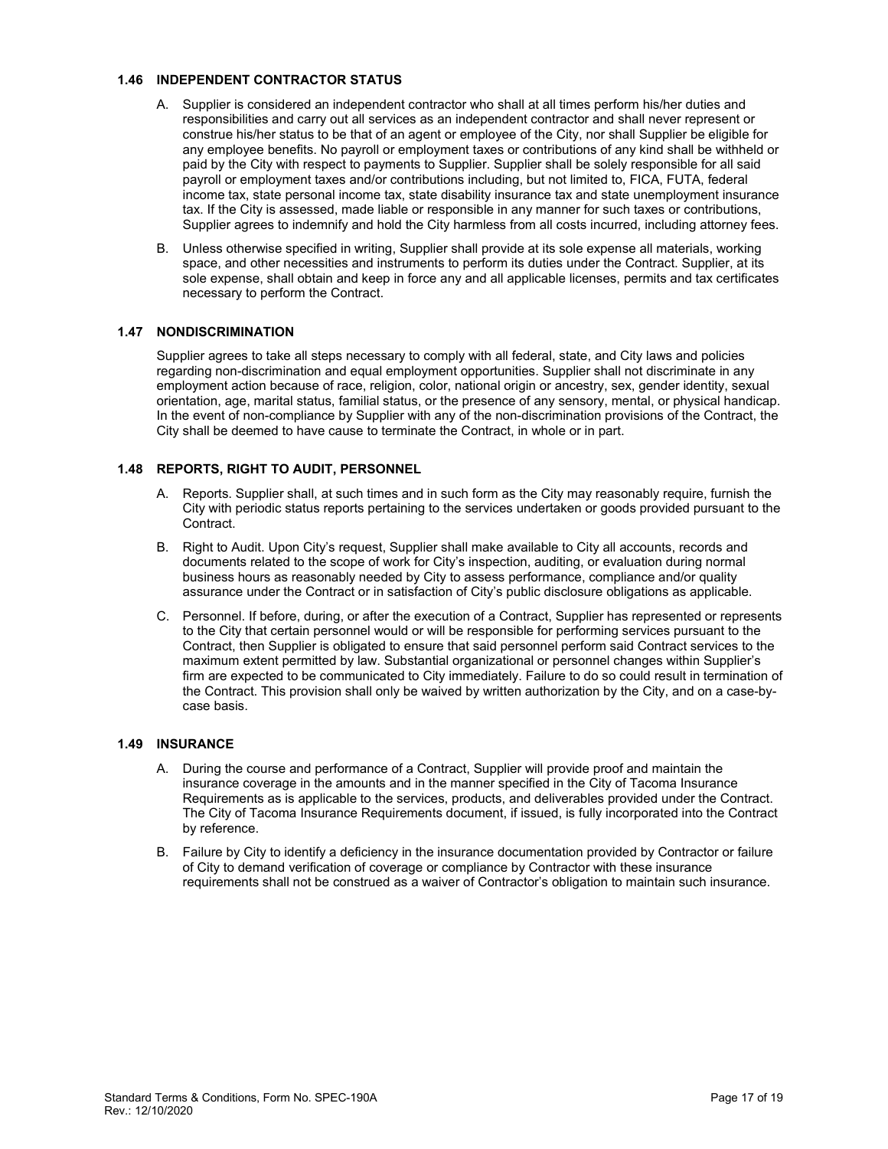# **1.46 INDEPENDENT CONTRACTOR STATUS**

- A. Supplier is considered an independent contractor who shall at all times perform his/her duties and responsibilities and carry out all services as an independent contractor and shall never represent or construe his/her status to be that of an agent or employee of the City, nor shall Supplier be eligible for any employee benefits. No payroll or employment taxes or contributions of any kind shall be withheld or paid by the City with respect to payments to Supplier. Supplier shall be solely responsible for all said payroll or employment taxes and/or contributions including, but not limited to, FICA, FUTA, federal income tax, state personal income tax, state disability insurance tax and state unemployment insurance tax. If the City is assessed, made liable or responsible in any manner for such taxes or contributions, Supplier agrees to indemnify and hold the City harmless from all costs incurred, including attorney fees.
- B. Unless otherwise specified in writing, Supplier shall provide at its sole expense all materials, working space, and other necessities and instruments to perform its duties under the Contract. Supplier, at its sole expense, shall obtain and keep in force any and all applicable licenses, permits and tax certificates necessary to perform the Contract.

# **1.47 NONDISCRIMINATION**

Supplier agrees to take all steps necessary to comply with all federal, state, and City laws and policies regarding non-discrimination and equal employment opportunities. Supplier shall not discriminate in any employment action because of race, religion, color, national origin or ancestry, sex, gender identity, sexual orientation, age, marital status, familial status, or the presence of any sensory, mental, or physical handicap. In the event of non-compliance by Supplier with any of the non-discrimination provisions of the Contract, the City shall be deemed to have cause to terminate the Contract, in whole or in part.

# **1.48 REPORTS, RIGHT TO AUDIT, PERSONNEL**

- A. Reports. Supplier shall, at such times and in such form as the City may reasonably require, furnish the City with periodic status reports pertaining to the services undertaken or goods provided pursuant to the Contract.
- B. Right to Audit. Upon City's request, Supplier shall make available to City all accounts, records and documents related to the scope of work for City's inspection, auditing, or evaluation during normal business hours as reasonably needed by City to assess performance, compliance and/or quality assurance under the Contract or in satisfaction of City's public disclosure obligations as applicable.
- C. Personnel. If before, during, or after the execution of a Contract, Supplier has represented or represents to the City that certain personnel would or will be responsible for performing services pursuant to the Contract, then Supplier is obligated to ensure that said personnel perform said Contract services to the maximum extent permitted by law. Substantial organizational or personnel changes within Supplier's firm are expected to be communicated to City immediately. Failure to do so could result in termination of the Contract. This provision shall only be waived by written authorization by the City, and on a case-bycase basis.

### **1.49 INSURANCE**

- A. During the course and performance of a Contract, Supplier will provide proof and maintain the insurance coverage in the amounts and in the manner specified in the City of Tacoma Insurance Requirements as is applicable to the services, products, and deliverables provided under the Contract. The City of Tacoma Insurance Requirements document, if issued, is fully incorporated into the Contract by reference.
- B. Failure by City to identify a deficiency in the insurance documentation provided by Contractor or failure of City to demand verification of coverage or compliance by Contractor with these insurance requirements shall not be construed as a waiver of Contractor's obligation to maintain such insurance.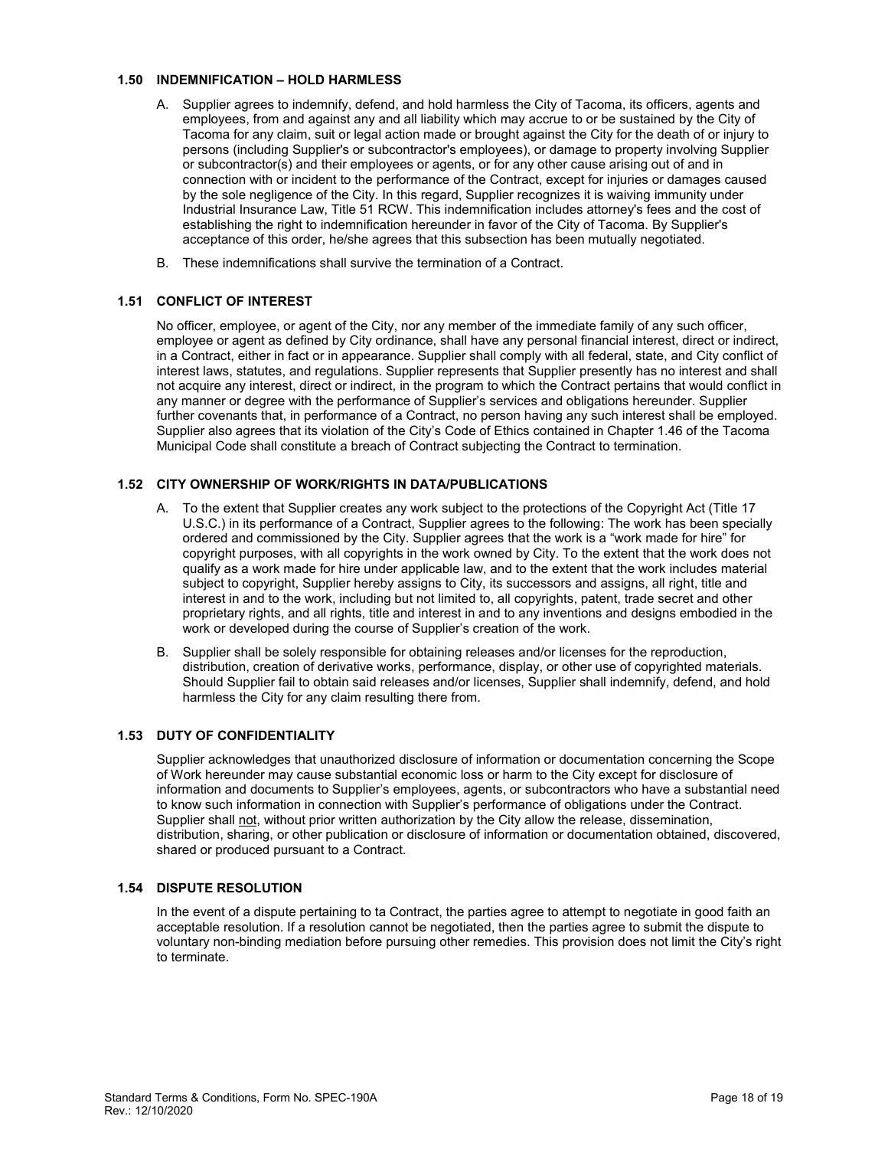# **1.50 INDEMNIFICATION – HOLD HARMLESS**

- A. Supplier agrees to indemnify, defend, and hold harmless the City of Tacoma, its officers, agents and employees, from and against any and all liability which may accrue to or be sustained by the City of Tacoma for any claim, suit or legal action made or brought against the City for the death of or injury to persons (including Supplier's or subcontractor's employees), or damage to property involving Supplier or subcontractor(s) and their employees or agents, or for any other cause arising out of and in connection with or incident to the performance of the Contract, except for injuries or damages caused by the sole negligence of the City. In this regard, Supplier recognizes it is waiving immunity under Industrial Insurance Law, Title 51 RCW. This indemnification includes attorney's fees and the cost of establishing the right to indemnification hereunder in favor of the City of Tacoma. By Supplier's acceptance of this order, he/she agrees that this subsection has been mutually negotiated.
- B. These indemnifications shall survive the termination of a Contract.

# **1.51 CONFLICT OF INTEREST**

No officer, employee, or agent of the City, nor any member of the immediate family of any such officer, employee or agent as defined by City ordinance, shall have any personal financial interest, direct or indirect, in a Contract, either in fact or in appearance. Supplier shall comply with all federal, state, and City conflict of interest laws, statutes, and regulations. Supplier represents that Supplier presently has no interest and shall not acquire any interest, direct or indirect, in the program to which the Contract pertains that would conflict in any manner or degree with the performance of Supplier's services and obligations hereunder. Supplier further covenants that, in performance of a Contract, no person having any such interest shall be employed. Supplier also agrees that its violation of the City's Code of Ethics contained in Chapter 1.46 of the Tacoma Municipal Code shall constitute a breach of Contract subjecting the Contract to termination.

# **1.52 CITY OWNERSHIP OF WORK/RIGHTS IN DATA/PUBLICATIONS**

- A. To the extent that Supplier creates any work subject to the protections of the Copyright Act (Title 17 U.S.C.) in its performance of a Contract, Supplier agrees to the following: The work has been specially ordered and commissioned by the City. Supplier agrees that the work is a "work made for hire" for copyright purposes, with all copyrights in the work owned by City. To the extent that the work does not qualify as a work made for hire under applicable law, and to the extent that the work includes material subject to copyright, Supplier hereby assigns to City, its successors and assigns, all right, title and interest in and to the work, including but not limited to, all copyrights, patent, trade secret and other proprietary rights, and all rights, title and interest in and to any inventions and designs embodied in the work or developed during the course of Supplier's creation of the work.
- B. Supplier shall be solely responsible for obtaining releases and/or licenses for the reproduction, distribution, creation of derivative works, performance, display, or other use of copyrighted materials. Should Supplier fail to obtain said releases and/or licenses, Supplier shall indemnify, defend, and hold harmless the City for any claim resulting there from.

# **1.53 DUTY OF CONFIDENTIALITY**

Supplier acknowledges that unauthorized disclosure of information or documentation concerning the Scope of Work hereunder may cause substantial economic loss or harm to the City except for disclosure of information and documents to Supplier's employees, agents, or subcontractors who have a substantial need to know such information in connection with Supplier's performance of obligations under the Contract. Supplier shall not, without prior written authorization by the City allow the release, dissemination, distribution, sharing, or other publication or disclosure of information or documentation obtained, discovered, shared or produced pursuant to a Contract.

### **1.54 DISPUTE RESOLUTION**

In the event of a dispute pertaining to ta Contract, the parties agree to attempt to negotiate in good faith an acceptable resolution. If a resolution cannot be negotiated, then the parties agree to submit the dispute to voluntary non-binding mediation before pursuing other remedies. This provision does not limit the City's right to terminate.